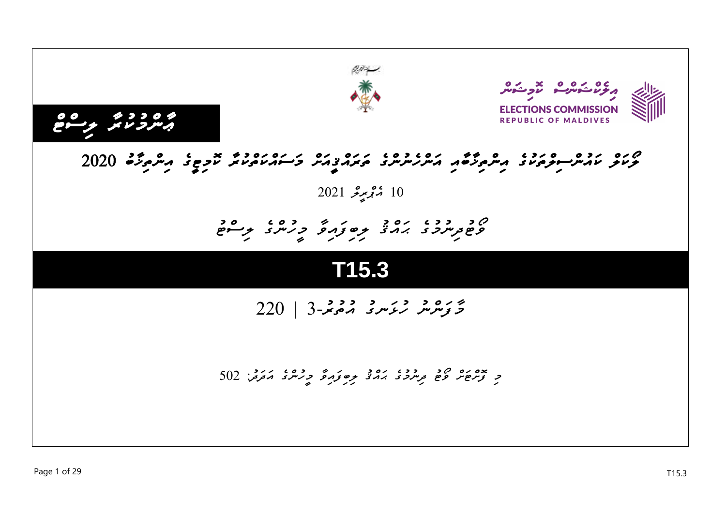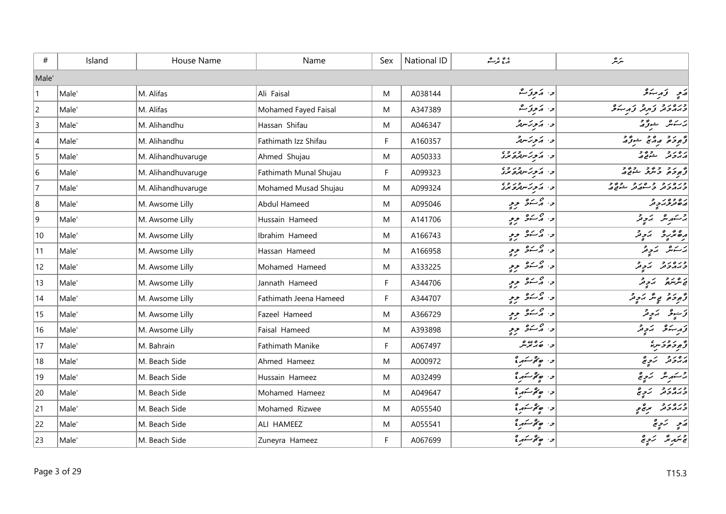| #              | Island | House Name         | Name                   | Sex | National ID | ، ه ، ره<br>مر: برگ                                                                                 | ىئرىتر                                                   |
|----------------|--------|--------------------|------------------------|-----|-------------|-----------------------------------------------------------------------------------------------------|----------------------------------------------------------|
| Male'          |        |                    |                        |     |             |                                                                                                     |                                                          |
| $\vert$ 1      | Male'  | M. Alifas          | Ali Faisal             | M   | A038144     | د · م <i>زود</i> م                                                                                  | ړې زړېږ                                                  |
| 2              | Male'  | M. Alifas          | Mohamed Fayed Faisal   | M   | A347389     | <sub>و: م</sub> رّمورٌ مـْ                                                                          | ورودو ومرثر ورجوع                                        |
| $\vert$ 3      | Male'  | M. Alihandhu       | Hassan Shifau          | M   | A046347     | د ۱۰ م <i>رکور ک</i> لوم                                                                            | يركسكر المحوق                                            |
| $\vert 4$      | Male'  | M. Alihandhu       | Fathimath Izz Shifau   | F   | A160357     | ە سىم ئىرىكىسى قىل                                                                                  | وٌ وَ وَ وَ وَ وَ وَ                                     |
| $\overline{5}$ | Male'  | M. Alihandhuvaruge | Ahmed Shujau           | M   | A050333     | و٠ ړورسرچروبر                                                                                       | ر ٥ ر ۶ د ۶ و ۶<br>د بر <del>د</del> تر شوقے ۹           |
| $\overline{6}$ | Male'  | M. Alihandhuvaruge | Fathimath Munal Shujau | F   | A099323     | و٠ مُروِرَ سِهْرُوَ مِرْدَ                                                                          | و و د و و د و و و و                                      |
| $\vert$ 7      | Male'  | M. Alihandhuvaruge | Mohamed Musad Shujau   | M   | A099324     | و٠ مکورکسونوکوبوی                                                                                   | ور ه ر و به و د و و و و و<br>تربر برتر تر سربرتر شوتح بر |
| 8              | Male'  | M. Awsome Lilly    | Abdul Hameed           | M   | A095046     | ه . چې کشو مومو                                                                                     | ړ ه د ور <sub>چ</sub> تر                                 |
| 9              | Male'  | M. Awsome Lilly    | Hussain Hameed         | M   | A141706     | د. چې کرو وو                                                                                        | يز ستهر شه الكرج من                                      |
| 10             | Male'  | M. Awsome Lilly    | Ibrahim Hameed         | M   | A166743     | - جي مسكرة المحرمة المعنى                                                                           | رەنزىر ئىچ                                               |
| 11             | Male'  | M. Awsome Lilly    | Hassan Hameed          | M   | A166958     | د . چې کرې وو                                                                                       | ىرىكىش برىچە                                             |
| 12             | Male'  | M. Awsome Lilly    | Mohamed Hameed         | M   | A333225     | د. هم خو دو                                                                                         | ورەرو بەرە                                               |
| 13             | Male'  | M. Awsome Lilly    | Jannath Hameed         | F   | A344706     | ا د . هم شو . د و .                                                                                 | يە ھەر ئەر ئەر                                           |
| 14             | Male'  | M. Awsome Lilly    | Fathimath Jeena Hameed | F   | A344707     | - مې مره لومړ                                                                                       | ژوځو پېژبېږ                                              |
| 15             | Male'  | M. Awsome Lilly    | Fazeel Hameed          | M   | A366729     | د. چې کوي وو                                                                                        | تزحوه التاريخر                                           |
| 16             | Male'  | M. Awsome Lilly    | Faisal Hameed          | M   | A393898     | د . م. سکو دو                                                                                       | تەرىبىق بەرلىر                                           |
| 17             | Male'  | M. Bahrain         | Fathimath Manike       | F   | A067497     | و . ځه دی ه                                                                                         | ۇ بەر دى <sub>رى</sub> رى                                |
| 18             | Male'  | M. Beach Side      | Ahmed Hameez           | M   | A000972     | وسي وهم يسكرونا                                                                                     | د مرحد حرج ح                                             |
| 19             | Male'  | M. Beach Side      | Hussain Hameez         | M   | A032499     | ح مي محمود محمد مع المحمد المحمد المحمد المحمد المحمد المحمد المحمد المحمد المحمد المحمد المحمد الم | جاسكمر بكرام كالمرجاج                                    |
| 20             | Male'  | M. Beach Side      | Mohamed Hameez         | M   | A049647     | و. ھەجمەسىمدە                                                                                       | ورەرو رو                                                 |
| 21             | Male'  | M. Beach Side      | Mohamed Rizwee         | M   | A055540     | و. ھەجمەسىمدە                                                                                       | ورەرو برجم                                               |
| 22             | Male'  | M. Beach Side      | ALI HAMEEZ             | M   | A055541     | و. ھەجمەسىمدە                                                                                       | ړې رې                                                    |
| 23             | Male'  | M. Beach Side      | Zuneyra Hameez         | F   | A067699     | $\frac{1}{2}$                                                                                       | تم سَمَد سَنَ سَرْحٍ مِجْ                                |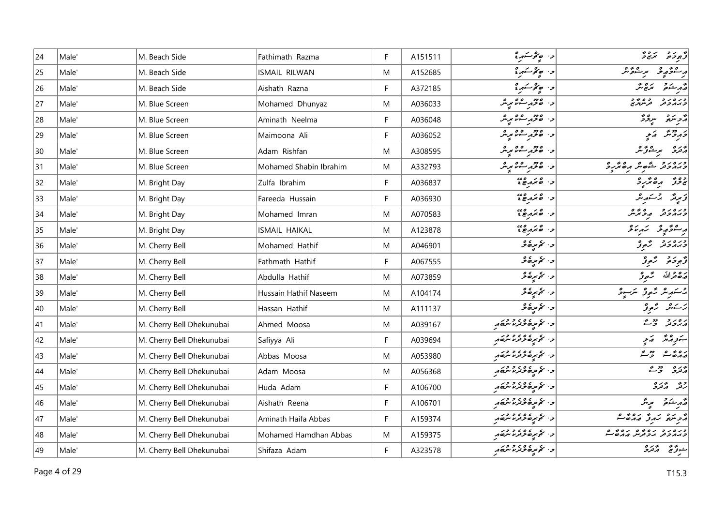| 24 | Male' | M. Beach Side             | Fathimath Razma        | F         | A151511 | ح مع محمد مسكور في                                                                                                                                                                                                                                                                                                             | أوجوحهم بمنحر                               |
|----|-------|---------------------------|------------------------|-----------|---------|--------------------------------------------------------------------------------------------------------------------------------------------------------------------------------------------------------------------------------------------------------------------------------------------------------------------------------|---------------------------------------------|
| 25 | Male' | M. Beach Side             | <b>ISMAIL RILWAN</b>   | M         | A152685 | ح موسم مسكور محمد المحمد المحمد المحمد المحمد المحمد المحمد المحمد المحمد المحمد المحمد المحمد المحمد                                                                                                                                                                                                                          | ر عۇرو بېشۇش                                |
| 26 | Male' | M. Beach Side             | Aishath Razna          | F         | A372185 | د· ھگوسکوچ                                                                                                                                                                                                                                                                                                                     | قەرشكە ئىسى ئىگە                            |
| 27 | Male' | M. Blue Screen            | Mohamed Dhunyaz        | M         | A036033 | د معزم سرم پر پر<br>رهند سرم پر پر                                                                                                                                                                                                                                                                                             | و ر ه ر د<br>تر پر تر تر<br>و ۵ پر د<br>ترس |
| 28 | Male' | M. Blue Screen            | Aminath Neelma         | F         | A036048 | و . 20 مئار مار مار محمد میں محمد اللہ اللہ علاقت اللہ علاقت اللہ علاقت اللہ علاقت اللہ علاقت اللہ علاقت اللہ                                                                                                                                                                                                                  | أرمر وسرة<br>سروتح                          |
| 29 | Male' | M. Blue Screen            | Maimoona Ali           | F         | A036052 | د . ھۆر مەم بوبىر<br>مەھۇر سىرتىرىش                                                                                                                                                                                                                                                                                            | لەردە ئە                                    |
| 30 | Male' | M. Blue Screen            | Adam Rishfan           | M         | A308595 | و . ھۆر شرائع بىر                                                                                                                                                                                                                                                                                                              | أردو برے و                                  |
| 31 | Male' | M. Blue Screen            | Mohamed Shabin Ibrahim | ${\sf M}$ | A332793 | ه معروم دار معرضه                                                                                                                                                                                                                                                                                                              | ورەرو شەھ رەپرد                             |
| 32 | Male' | M. Bright Day             | Zulfa Ibrahim          | F         | A036837 | $\frac{1}{2}$                                                                                                                                                                                                                                                                                                                  | وه ده نړلو                                  |
| 33 | Male' | M. Bright Day             | Fareeda Hussain        | F         | A036930 | $\begin{bmatrix} 16 & 0 & 0 & 0 \\ 0 & 0 & 0 & 0 \\ 0 & 0 & 0 & 0 \\ 0 & 0 & 0 & 0 \\ 0 & 0 & 0 & 0 \\ 0 & 0 & 0 & 0 \\ 0 & 0 & 0 & 0 \\ 0 & 0 & 0 & 0 \\ 0 & 0 & 0 & 0 \\ 0 & 0 & 0 & 0 \\ 0 & 0 & 0 & 0 \\ 0 & 0 & 0 & 0 \\ 0 & 0 & 0 & 0 \\ 0 & 0 & 0 & 0 & 0 \\ 0 & 0 & 0 & 0 & 0 \\ 0 & 0 & 0 & 0 & 0 \\ 0 & 0 & 0 & 0 &$ | ۇ بوقر كەسكەرلىر                            |
| 34 | Male' | M. Bright Day             | Mohamed Imran          | M         | A070583 | $rac{10}{100}$                                                                                                                                                                                                                                                                                                                 | ورەرو مەھرە<br><i>جەمەدىر مە</i> ھرىش       |
| 35 | Male' | M. Bright Day             | ISMAIL HAIKAL          | M         | A123878 | $\frac{1}{2}$                                                                                                                                                                                                                                                                                                                  | ر قۇيۇ ئىرىك                                |
| 36 | Male' | M. Cherry Bell            | Mohamed Hathif         | M         | A046901 | و· كۈمرەگ                                                                                                                                                                                                                                                                                                                      | ورەرو ئەرە                                  |
| 37 | Male' | M. Cherry Bell            | Fathmath Hathif        | F         | A067555 | و٠ گوبره و                                                                                                                                                                                                                                                                                                                     | قەدىق ئىرۇ                                  |
| 38 | Male' | M. Cherry Bell            | Abdulla Hathif         | M         | A073859 | و· كۈمرەگە                                                                                                                                                                                                                                                                                                                     | پره قرالله گړو و                            |
| 39 | Male' | M. Cherry Bell            | Hussain Hathif Naseem  | ${\sf M}$ | A104174 | و· كومړه و                                                                                                                                                                                                                                                                                                                     | ج سەمەھ رقىمۇ سىسوق                         |
| 40 | Male' | M. Cherry Bell            | Hassan Hathif          | M         | A111137 | <sub>و</sub> ، <sub>گونو</sub> ځ و                                                                                                                                                                                                                                                                                             | پرستہ رحموقر                                |
| 41 | Male' | M. Cherry Bell Dhekunubai | Ahmed Moosa            | M         | A039167 | د. کم موضوع موضع موضع                                                                                                                                                                                                                                                                                                          | رەر دەرم<br>مەرىر ت                         |
| 42 | Male' | M. Cherry Bell Dhekunubai | Safiyya Ali            | F         | A039694 | و سي موقوع مردم.                                                                                                                                                                                                                                                                                                               | سكورثر الأمو                                |
| 43 | Male' | M. Cherry Bell Dhekunubai | Abbas Moosa            | M         | A053980 | و . نځ مړه تر تر بره مړه کې                                                                                                                                                                                                                                                                                                    | رەپچە<br>حر مشر                             |
| 44 | Male' | M. Cherry Bell Dhekunubai | Adam Moosa             | ${\sf M}$ | A056368 | و . نمو موهو موهوم موهوم                                                                                                                                                                                                                                                                                                       | دومثر<br>یو ر ه<br>د تعرو                   |
| 45 | Male' | M. Cherry Bell Dhekunubai | Huda Adam              | F         | A106700 | و به نمو موجود موضور<br>و به نمو موجود موضور                                                                                                                                                                                                                                                                                   | و په موره<br>رتو گمانورو                    |
| 46 | Male' | M. Cherry Bell Dhekunubai | Aishath Reena          | F         | A106701 | و ستم مرده و در مرده د                                                                                                                                                                                                                                                                                                         | و منظمون موسر<br>ا                          |
| 47 | Male' | M. Cherry Bell Dhekunubai | Aminath Haifa Abbas    | F         | A159374 | و · نځې پره ترور سره د .<br>و · نځې پره ترور د سره د                                                                                                                                                                                                                                                                           | הכיתה הגני הסיבים                           |
| 48 | Male' | M. Cherry Bell Dhekunubai | Mohamed Hamdhan Abbas  | M         | A159375 | و به نمو موفر موضور<br>د به نمو موفر موضور                                                                                                                                                                                                                                                                                     | כנסגב גם גם גם כי<br>כגובבת גבתית גופי      |
| 49 | Male' | M. Cherry Bell Dhekunubai | Shifaza Adam           | F         | A323578 | و . نځم پره و در سره د                                                                                                                                                                                                                                                                                                         | شوترځ د ترو                                 |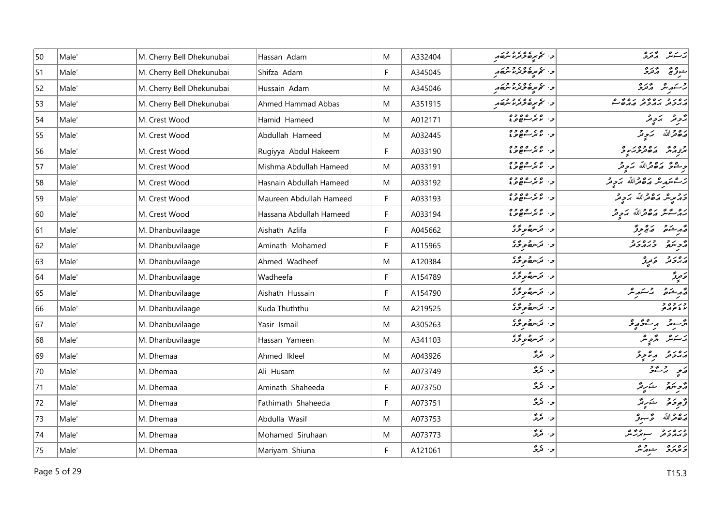| 50 | Male' | M. Cherry Bell Dhekunubai | Hassan Adam             | M           | A332404 | و . می می ه و و و در می د                                                  | پور ہ<br>مرکز ژ<br>ىز ئەنگە                |
|----|-------|---------------------------|-------------------------|-------------|---------|----------------------------------------------------------------------------|--------------------------------------------|
| 51 | Male' | M. Cherry Bell Dhekunubai | Shifza Adam             | F           | A345045 | و . می می ه و و و در می د                                                  | شور گئج<br>پور ہ<br>دنور                   |
| 52 | Male' | M. Cherry Bell Dhekunubai | Hussain Adam            | M           | A345046 | و . مي مره و در مره د                                                      | ير شهر شهره و                              |
| 53 | Male' | M. Cherry Bell Dhekunubai | Ahmed Hammad Abbas      | M           | A351915 | ه می می می در در در در می کند.<br>با می می می می می می می کند و بر می کند. | נ סניכ ניסיב ניסיבים                       |
| 54 | Male' | M. Crest Wood             | Hamid Hameed            | M           | A012171 | ه به عروه وه<br>د انگر شوه و و                                             | گەدىر كەرىگە                               |
| 55 | Male' | M. Crest Wood             | Abdullah Hameed         | M           | A032445 | ه ، مرکب وه وه                                                             | أرجح فرالله بروقر                          |
| 56 | Male' | M. Crest Wood             | Rugiyya Abdul Hakeem    | F           | A033190 | ه به عروه وه<br>د اند کر سوچون                                             | و وه ده دور و                              |
| 57 | Male' | M. Crest Wood             | Mishma Abdullah Hameed  | M           | A033191 | ه ، مرکب وه وه                                                             | وجود رەقىراللە بروپر                       |
| 58 | Male' | M. Crest Wood             | Hasnain Abdullah Hameed | M           | A033192 | ه ، مرکب وه وه                                                             | تر متعدش مقد الله برديد                    |
| 59 | Male' | M. Crest Wood             | Maureen Abdullah Hameed | F           | A033193 | و. ۶ نور ۱۶۵۵                                                              | د د بر شه پر ۱۳۵۵ مختلفه بر د پیمر         |
| 60 | Male' | M. Crest Wood             | Hassana Abdullah Hameed | F.          | A033194 | ه به عروه وه<br>د ۱۰ مرسوم و و                                             | برە ئەش مەھىراللە برىپىر                   |
| 61 | Male' | M. Dhanbuvilaage          | Aishath Azlifa          | $\mathsf F$ | A045662 | و· ترسمهٔ و ڈی                                                             | أقهر يشتم والمقامرة                        |
| 62 | Male' | M. Dhanbuvilaage          | Aminath Mohamed         | F           | A115965 | و· ترسمهٔ و دُّی                                                           | و ره ر د<br>تر پروتر<br>ۇ ئەسىر ئە         |
| 63 | Male' | M. Dhanbuvilaage          | Ahmed Wadheef           | M           | A120384 | و· ترسمهٔ و ڈی                                                             | پره ريد و کري                              |
| 64 | Male' | M. Dhanbuvilaage          | Wadheefa                | F.          | A154789 | و· ترسمهٔ و وٌی                                                            | ر<br>ح <sup>5</sup> يږوگ                   |
| 65 | Male' | M. Dhanbuvilaage          | Aishath Hussain         | F.          | A154790 | و· ترسمهٔ و ژًو                                                            | ۇ مەنسۇم<br>مەم<br>برسەمەرىش               |
| 66 | Male' | M. Dhanbuvilaage          | Kuda Thuththu           | M           | A219525 | و· ترسم موترد                                                              | ۶ <i>٥ ٥ ٥ ٥</i><br>٧ ٤ ٥ ٩ ٩ ٩            |
| 67 | Male' | M. Dhanbuvilaage          | Yasir Ismail            | M           | A305263 | و· ترسمهٔ <i>و</i> وٌ دُ                                                   | ۇسىز بەستۇپگ                               |
| 68 | Male' | M. Dhanbuvilaage          | Hassan Yameen           | M           | A341103 | و· مرسمهٔ و ڈی                                                             | يَاسَدُ الرَّحِيمُ                         |
| 69 | Male' | M. Dhemaa                 | Ahmed Ikleel            | M           | A043926 | و٠ تروٌ                                                                    |                                            |
| 70 | Male' | M. Dhemaa                 | Ali Husam               | M           | A073749 | و٠ تروٌ                                                                    | $\frac{22}{2}$ $\frac{2}{3}$ $\frac{2}{3}$ |
| 71 | Male' | M. Dhemaa                 | Aminath Shaheeda        | $\mathsf F$ | A073750 | و٠ تروٌ                                                                    | ړٌ د سَرَمَرُ شَرَبِرَدُ                   |
| 72 | Male' | M. Dhemaa                 | Fathimath Shaheeda      | F           | A073751 | و٠ تروٌ                                                                    | ۇي <sub>ر</sub> ۇ شېرى <i>د</i>            |
| 73 | Male' | M. Dhemaa                 | Abdulla Wasif           | M           | A073753 | و٠ تروٌ                                                                    | رەقمەللە ئەجو                              |
| 74 | Male' | M. Dhemaa                 | Mohamed Siruhaan        | M           | A073773 | و٠ تروٌ                                                                    | و ر ه ر د<br><i>و بر</i> پر تر<br>سوپرژینز |
| 75 | Male' | M. Dhemaa                 | Mariyam Shiuna          | F.          | A121061 | و٠ تروٌ                                                                    | رەرە شەرقە                                 |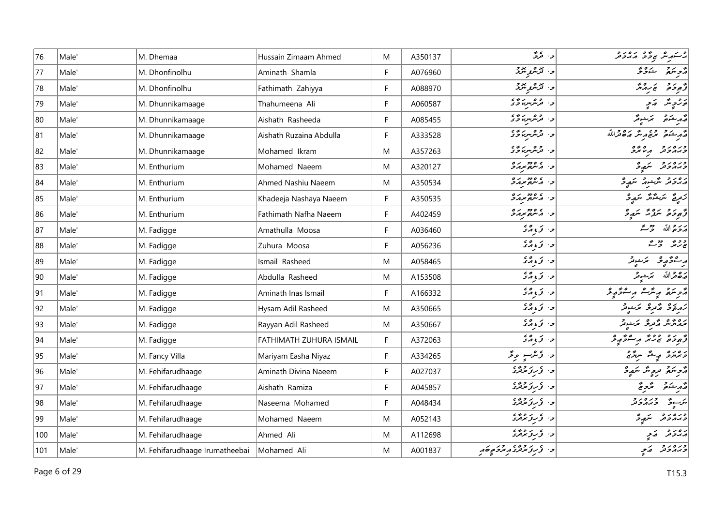| 76  | Male' | M. Dhemaa                      | Hussain Zimaam Ahmed    | M  | A350137 | و٠ تروٌ                                 | بر منه شود دورو                       |
|-----|-------|--------------------------------|-------------------------|----|---------|-----------------------------------------|---------------------------------------|
| 77  | Male' | M. Dhonfinolhu                 | Aminath Shamla          | F  | A076960 | د . قرمرو تيزو                          | أزويتهم الشوقر                        |
| 78  | Male' | M. Dhonfinolhu                 | Fathimath Zahiyya       | F  | A088970 | د . مرشر تر <i>و</i>                    | أزّودَه بمرور                         |
| 79  | Male' | M. Dhunnikamaage               | Thahumeena Ali          | F  | A060587 | و . قر شرید تر د و د                    | كورمي فليستمر                         |
| 80  | Male' | M. Dhunnikamaage               | Aishath Rasheeda        | F  | A085455 | و . تر <i>نگرېن د د</i>                 | ۇرخۇ ئېچى                             |
| 81  | Male' | M. Dhunnikamaage               | Aishath Ruzaina Abdulla | F  | A333528 | و وگرمزنده و                            | مەر مەدەبەت مەھىراللە                 |
| 82  | Male' | M. Dhunnikamaage               | Mohamed Ikram           | M  | A357263 | و . قر شرید <i>نو</i> ر کار             | כנה כנים המינים<br>בגבבים המינים      |
| 83  | Male' | M. Enthurium                   | Mohamed Naeem           | M  | A320127 | ם - הסבר הם<br>כ - הייט <i>ם יה</i> הכ  | ورەر د شھرى                           |
| 84  | Male' | M. Enthurium                   | Ahmed Nashiu Naeem      | M  | A350534 | - ה מת הם<br>כי היית <i>ה</i> תב        | رەرو شەر شەر                          |
| 85  | Male' | M. Enthurium                   | Khadeeja Nashaya Naeem  | F  | A350535 | ם המית מית הפ                           | زَمِرِيَّ سَرَشَہُرَّ سَمِرِهِ        |
| 86  | Male' | M. Enthurium                   | Fathimath Nafha Naeem   | F. | A402459 |                                         | توجدة المروثة المرجو                  |
| 87  | Male' | M. Fadigge                     | Amathulla Moosa         | F. | A036460 | د . زَءٍ دُمَّ                          | مَرَدَّمُ اللَّهُ حَرْثَهُ            |
| 88  | Male' | M. Fadigge                     | Zuhura Moosa            | F  | A056236 | د. زَءِ مُرُ                            | ووی وی                                |
| 89  | Male' | M. Fadigge                     | Ismail Rasheed          | M  | A058465 | د. زَءِ مُرُ                            | رېشۇرچى ئېشىق                         |
| 90  | Male' | M. Fadigge                     | Abdulla Rasheed         | M  | A153508 | د. زَءِ مُرُ                            | ره والله بمرشوتر                      |
| 91  | Male' | M. Fadigge                     | Aminath Inas Ismail     | F  | A166332 | د· توَ وِ وي                            | أردينم ويترب وعفرود                   |
| 92  | Male' | M. Fadigge                     | Hysam Adil Rasheed      | M  | A350665 | د· ئۇ دەممى                             | كهذة كالرقر المتشوش                   |
| 93  | Male' | M. Fadigge                     | Rayyan Adil Rasheed     | M  | A350667 | د· توَ وِ وي                            | .<br>מגורית האתי האיבית               |
| 94  | Male' | M. Fadigge                     | FATHIMATH ZUHURA ISMAIL | F. | A372063 | د· ۆءۈچ                                 | و و د د د د د سر د و د د              |
| 95  | Male' | M. Fancy Villa                 | Mariyam Easha Niyaz     | F. | A334265 | <sub>و</sub> . دَ شر په <sub>و</sub> دَ | ومرود ويش سرور                        |
| 96  | Male' | M. Fehifarudhaage              | Aminath Divina Naeem    | F  | A027037 | و٠ ؤرۇپروپر                             | أأوسكم ترويثر سمدفح                   |
| 97  | Male' | M. Fehifarudhaage              | Aishath Ramiza          | F  | A045857 | و٠ ؤرۇپروگرى                            | أقرم شكوم محرجرة                      |
| 98  | Male' | M. Fehifarudhaage              | Naseema Mohamed         | F. | A048434 | و <sub>:</sub> و مرتو بروره             | بترسوش وبرە برو                       |
| 99  | Male' | M. Fehifarudhaage              | Mohamed Naeem           | M  | A052143 | و٠ ؤرۇپرور                              | و ره ر و<br><i>د بر</i> د تر<br>سمدقر |
| 100 | Male' | M. Fehifarudhaage              | Ahmed Ali               | M  | A112698 | و٠ ؤرۇپرور                              | رەرد كمي                              |
| 101 | Male' | M. Fehifarudhaage Irumatheebai | Mohamed Ali             | M  | A001837 | د کرکر تر تر تر تر تر تر تو تو امر      | ورەرد كەي                             |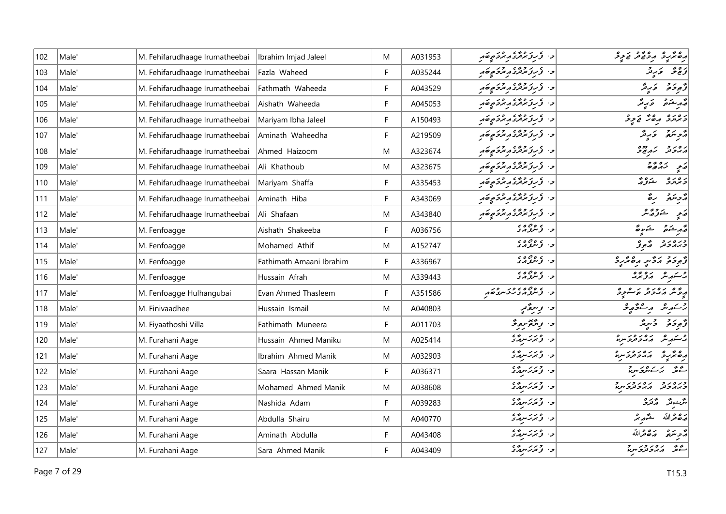| 102 | Male' | M. Fehifarudhaage Irumatheebai | Ibrahim Imjad Jaleel     | M           | A031953 | ه زروده، دوه وده وه                         | رە ئرېر ئەرەقۇر قامٍ بو                                |
|-----|-------|--------------------------------|--------------------------|-------------|---------|---------------------------------------------|--------------------------------------------------------|
| 103 | Male' | M. Fehifarudhaage Irumatheebai | Fazla Waheed             | F           | A035244 | و کورکرد در در مردم کار                     | تزيج تخر تحديثر                                        |
| 104 | Male' | M. Fehifarudhaage Irumatheebai | Fathmath Waheeda         | F           | A043529 | و و و و و و و و و و و و و و                 | و مرد د                                                |
| 105 | Male' | M. Fehifarudhaage Irumatheebai | Aishath Waheeda          | F           | A045053 | و و دوو، دوه مرده م                         | و د کر د د مخ<br>ى برىتر                               |
| 106 | Male' | M. Fehifarudhaage Irumatheebai | Mariyam Ibha Jaleel      | $\mathsf F$ | A150493 | و و و و و و و و و و و و و و                 | בינוב גם ב ביבב                                        |
| 107 | Male' | M. Fehifarudhaage Irumatheebai | Aminath Waheedha         | F           | A219509 | و . ۇرۇپرترى پرچمۇھەر                       | أزويتم وتابيته                                         |
| 108 | Male' | M. Fehifarudhaage Irumatheebai | Ahmed Haizoom            | M           | A323674 | و و و و ووی مرکزه و ه                       | גפנק התשכ                                              |
| 109 | Male' | M. Fehifarudhaage Irumatheebai | Ali Khathoub             | M           | A323675 | د کرکردگرد مرد و هم                         | $rac{200}{600}$                                        |
| 110 | Male' | M. Fehifarudhaage Irumatheebai | Mariyam Shaffa           | $\mathsf F$ | A335453 | و کورکر تر تر در مرکز موضو                  | شتۇر<br>ر ه بر ه<br><del>د</del> بربر ژ                |
| 111 | Male' | M. Fehifarudhaage Irumatheebai | Aminath Hiba             | F           | A343069 | د کرکر پرټر د پر دې ه د                     | أأرجعهم<br>رة                                          |
| 112 | Male' | M. Fehifarudhaage Irumatheebai | Ali Shafaan              | M           | A343840 | د· ژرز ترترد مرتز موغهر                     | أەي خۇرەپر                                             |
| 113 | Male' | M. Fenfoagge                   | Aishath Shakeeba         | F           | A036756 | ړ وه ۵ <i>۵</i><br>د وسرو در                | و<br>ورشنق شربرة                                       |
| 114 | Male' | M. Fenfoagge                   | Mohamed Athif            | M           | A152747 | ه ده ۱۵۵۵<br>د وسومر                        | وره رو و و                                             |
| 115 | Male' | M. Fenfoagge                   | Fathimath Amaani Ibrahim | F           | A336967 | ی وه ۵ ه و<br>د ۰ نومبونو پرو               | و و ده مرځم مه په پر                                   |
| 116 | Male' | M. Fenfoagge                   | Hussain Afrah            | M           | A339443 | ړ وه ۵ <i>۰</i><br>د وسومړ                  | برسكه شروعهم بروتين                                    |
| 117 | Male' | M. Fenfoagge Hulhangubai       | Evan Ahmed Thasleem      | F           | A351586 | ، وەەە ، دىر سىدە.<br>د · ۋسرۇ بىرى سىدە ئە | رومر مددور للصور                                       |
| 118 | Male' | M. Finivaadhee                 | Hussain Ismail           | M           | A040803 | ار· و سرهً مړ<br>__________                 | جسكر شر مر مشركة ويحر                                  |
| 119 | Male' | M. Fiyaathoshi Villa           | Fathimath Muneera        | F           | A011703 | د· ويرتج بره بڅ                             | أؤبوخا وسيتر                                           |
| 120 | Male' | M. Furahani Aage               | Hussain Ahmed Maniku     | M           | A025414 | والمحتر مترسمة                              |                                                        |
| 121 | Male' | M. Furahani Aage               | Ibrahim Ahmed Manik      | M           | A032903 | و٠ ۇترىرىدۇ؛                                | ەرھ ئ <sup>ۆ</sup> ر ۋ<br>1919 בי הק<br>ג'גר בקב ייקול |
| 122 | Male' | M. Furahani Aage               | Saara Hassan Manik       | $\mathsf F$ | A036371 | د · د تمرکر سرچري                           | ئىگە ئەسكەردىدە                                        |
| 123 | Male' | M. Furahani Aage               | Mohamed Ahmed Manik      | M           | A038608 | د · ۇتمەرسىدۇ ؟                             | כנסנכ נסנכניתי<br><i>כה</i> תכת ההכתכיתי               |
| 124 | Male' | M. Furahani Aage               | Nashida Adam             | F           | A039283 | د . زېمر <i>کې</i> ر مړينې                  | سَّرْسْدنَّرَ 1دُنْرَتْر                               |
| 125 | Male' | M. Furahani Aage               | Abdulla Shairu           | M           | A040770 | د · ۇتمەرسىمگ                               | حده قرالله شمه تر                                      |
| 126 | Male' | M. Furahani Aage               | Aminath Abdulla          | F           | A043408 | د · ۇتمەرسىدى                               | ەھەراللە<br>ړ د سرچ                                    |
| 127 | Male' | M. Furahani Aage               | Sara Ahmed Manik         | F           | A043409 | و . تو <i>ترکس</i> رد و .                   | كمشيخ المرماد ورادر                                    |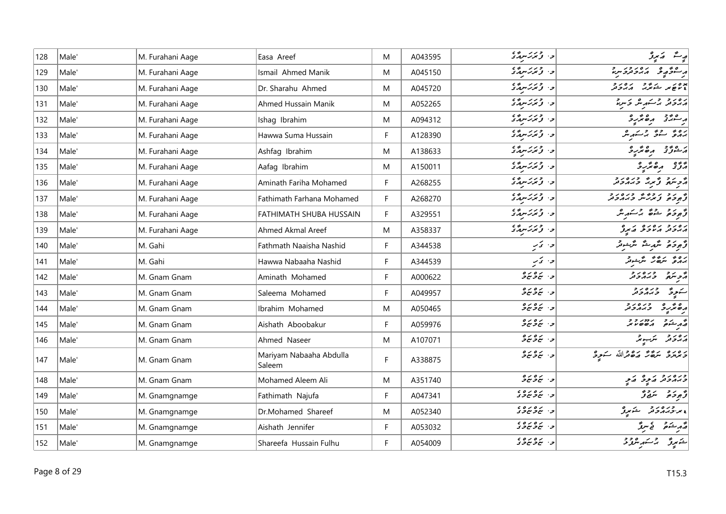| 128 | Male' | M. Furahani Aage | Easa Areef                        | M  | A043595 | و . ۇترىكىرگە ئ          | اپریش که پروژ<br>تر                           |
|-----|-------|------------------|-----------------------------------|----|---------|--------------------------|-----------------------------------------------|
| 129 | Male' | M. Furahani Aage | Ismail Ahmed Manik                | M  | A045150 | د· ۇتمە <i>ر ئىر</i> مۇئ | ر عرقر و در در در در                          |
| 130 | Male' | M. Furahani Aage | Dr. Sharahu Ahmed                 | M  | A045720 | د· ۇتمەرسىدى             | برەر بەر بەر دەرد                             |
| 131 | Male' | M. Furahani Aage | <b>Ahmed Hussain Manik</b>        | M  | A052265 | د . تو <i>ترک بردگا</i>  | גפני גיה יל ביטי                              |
| 132 | Male' | M. Furahani Aage | Ishaq Ibrahim                     | M  | A094312 | د· ۇتمە <i>ر ئىر</i> مۇ  | وسنتق وهقره                                   |
| 133 | Male' | M. Furahani Aage | Hawwa Suma Hussain                | F. | A128390 | د . تو <i>پرکس</i> ر دی  | رەپ دەپرىسەر                                  |
| 134 | Male' | M. Furahani Aage | Ashfaq Ibrahim                    | M  | A138633 | د · د ټرکر سرمړي         | ړ دوی د هغرب                                  |
| 135 | Male' | M. Furahani Aage | Aafaq Ibrahim                     | M  | A150011 | د · ۇتمەرسىدى            | ووه مه ورو                                    |
| 136 | Male' | M. Furahani Aage | Aminath Fariha Mohamed            | F  | A268255 | و· ۇتمەرسىدى             | أأدمره كمريد وره دو                           |
| 137 | Male' | M. Furahani Aage | Fathimath Farhana Mohamed         | F  | A268270 | د . ۇترىكىزىگە           | و د د د دور د د د د د                         |
| 138 | Male' | M. Furahani Aage | FATHIMATH SHUBA HUSSAIN           | F  | A329551 | د· ۇتمە <i>ر ئىر</i> مۇ  | و و و و و و د سور ش                           |
| 139 | Male' | M. Furahani Aage | Ahmed Akmal Areef                 | M  | A358337 | و . ۇىزرىبرۇ ،           | ر 2000 בשיק 2000.<br>ג'ובט, ג'וביצי בייצי     |
| 140 | Male' | M. Gahi          | Fathmath Naaisha Nashid           | F  | A344538 | وسمى كر                  | قەم ئۇم ئىگرىش ئىر ئىسى                       |
| 141 | Male' | M. Gahi          | Hawwa Nabaaha Nashid              | F  | A344539 | وسمى كر                  | رەپ برۇژ شەد                                  |
| 142 | Male' | M. Gnam Gnam     | Aminath Mohamed                   | F  | A000622 | و به ده ده               | أثر سرو وره دو                                |
| 143 | Male' | M. Gnam Gnam     | Saleema Mohamed                   | F. | A049957 | و به ده ده               | و ره ر د<br><i>و پ</i> رو تر<br>  سەردۇ       |
| 144 | Male' | M. Gnam Gnam     | Ibrahim Mohamed                   | M  | A050465 | و به عرض و               | ە ھەترىر <sup>ە</sup><br>و ره ر و<br>تر پروتر |
| 145 | Male' | M. Gnam Gnam     | Aishath Aboobakur                 | F. | A059976 | و به وی و                | لقرمر شخيخ<br>77/77/                          |
| 146 | Male' | M. Gnam Gnam     | Ahmed Naseer                      | M  | A107071 | و به ده ده               | رەرد سكىبدىر                                  |
| 147 | Male' | M. Gnam Gnam     | Mariyam Nabaaha Abdulla<br>Saleem | F  | A338875 | و به ده ده               | رەرە برۇز ھەقراللە سەر                        |
| 148 | Male' | M. Gnam Gnam     | Mohamed Aleem Ali                 | M  | A351740 | و. سے وسے و              | دبره دبر مرد و مرد                            |
| 149 | Male' | M. Gnamgnamge    | Fathimath Najufa                  | F  | A047341 | ה הפהם ה<br>היי הפיה בז  | توجدة للمعدة                                  |
| 150 | Male' | M. Gnamgnamge    | Dr.Mohamed Shareef                | M  | A052340 | ה הפהם ה<br>היי הפיה בז  | ، درەرد شەرد                                  |
| 151 | Male' | M. Gnamgnamge    | Aishath Jennifer                  | F  | A053032 | و . شوه بره و            | أَمَّامٍ شَيْءٍ فَي سِمَّةٌ                   |
| 152 | Male' | M. Gnamgnamge    | Shareefa Hussain Fulhu            | F. | A054009 | ה הפהם ה<br>היי הפיה בז  | شىرىق برسىم مورق                              |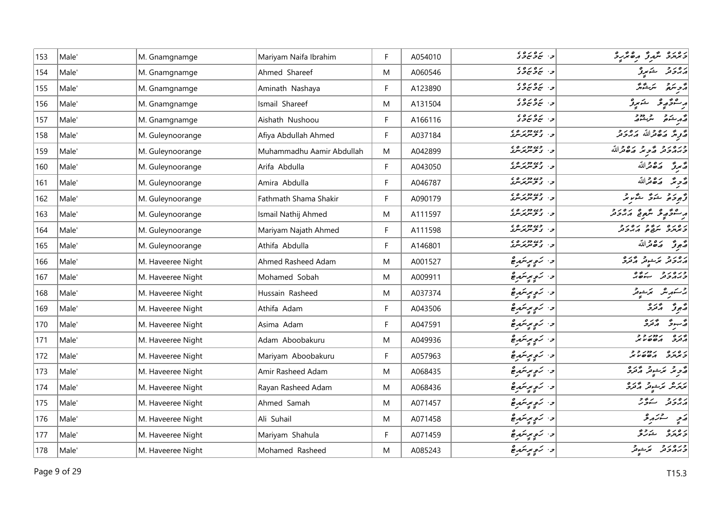| 153 | Male' | M. Gnamgnamge     | Mariyam Naifa Ibrahim     | F         | A054010 | 59292.5                                         | دەرە شرۇ رەتمەر                             |
|-----|-------|-------------------|---------------------------|-----------|---------|-------------------------------------------------|---------------------------------------------|
| 154 | Male' | M. Gnamgnamge     | Ahmed Shareef             | M         | A060546 | و. سے وسے وی                                    | پروتر خېږو                                  |
| 155 | Male' | M. Gnamgnamge     | Aminath Nashaya           | F.        | A123890 | ה הפהם ה<br>היי שכשכב                           | سَرَسْتَہُرَ<br>ړ د سرچ                     |
| 156 | Male' | M. Gnamgnamge     | Ismail Shareef            | M         | A131504 | ر ده ده ده<br>د کورځ د د                        | وستوصفه المستعمر                            |
| 157 | Male' | M. Gnamgnamge     | Aishath Nushoou           | F         | A166116 | $\frac{c}{c}$ 2000)                             | مەر شىم ئىسىمى ئىشىم                        |
| 158 | Male' | M. Guleynoorange  | Afiya Abdullah Ahmed      | F         | A037184 | و پر وور و پر<br>و په محر سر سر سر              | و و ده ده دالله مرد در د                    |
| 159 | Male' | M. Guleynoorange  | Muhammadhu Aamir Abdullah | M         | A042899 | و ، و و و د ه ه و<br>و ، و <del>و</del> سرپوسری | ورەرو پەر مەھەراللە                         |
| 160 | Male' | M. Guleynoorange  | Arifa Abdulla             | F         | A043050 | و ، و و و د ه ه و<br>و ، و <del>و</del> سرپوسری | أصحبوتر الصاقد الله                         |
| 161 | Male' | M. Guleynoorange  | Amira Abdulla             | F         | A046787 | و په دور و په<br>و کومونومونو                   | قَدَّمِتَمُ صَحَّقَدَاللَّهُ                |
| 162 | Male' | M. Guleynoorange  | Fathmath Shama Shakir     | F.        | A090179 | و په دور و په<br>و۰ کالومبرسرند                 | توجوحا والمشوش الشموانير                    |
| 163 | Male' | M. Guleynoorange  | Ismail Nathij Ahmed       | M         | A111597 | و په دور و په<br>و۰ کالمرس                      | مر شۇم ئۇ ھەم مەردىن                        |
| 164 | Male' | M. Guleynoorange  | Mariyam Najath Ahmed      | F         | A111598 | و پر وور و پر<br>و په محر مرمر مربع             | ג 2000 בשיר ג 2000<br>קיבובק יינה פי הגיבוב |
| 165 | Male' | M. Guleynoorange  | Athifa Abdulla            | F         | A146801 | و په دور و په<br>و کومونومونو                   | قيموقر الكافدالله                           |
| 166 | Male' | M. Haveeree Night | Ahmed Rasheed Adam        | M         | A001527 | و· كومبرشره و                                   | رەر دىر ئەسىر ئەترى                         |
| 167 | Male' | M. Haveeree Night | Mohamed Sobah             | M         | A009911 | د· كوپرېترو <u>غ</u>                            | وره رو دره<br>وبروو سن                      |
| 168 | Male' | M. Haveeree Night | Hussain Rasheed           | ${\sf M}$ | A037374 | و· كومبرسكر قح                                  | برسكيريش الكرسومر                           |
| 169 | Male' | M. Haveeree Night | Athifa Adam               | F         | A043506 | د· ر <sub>کوم</sub> ر سَرم <sup>9</sup>         | ړ پور په ده کر                              |
| 170 | Male' | M. Haveeree Night | Asima Adam                | F.        | A047591 | د· ر <sub>کوم</sub> ر سَرم <sup>9</sup>         | و دره<br>د سوځ د ترور                       |
| 171 | Male' | M. Haveeree Night | Adam Aboobakuru           | M         | A049936 | و· ئەممە يېڭىدۇ                                 | 77/77/7<br>یور ہ<br>پرترن                   |
| 172 | Male' | M. Haveeree Night | Mariyam Aboobakuru        | F         | A057963 | و· كوپرېترو <u>غ</u>                            | 77777<br>ر ه ر ه<br><del>د</del> بربر د     |
| 173 | Male' | M. Haveeree Night | Amir Rasheed Adam         | M         | A068435 | و· ئۇيرىترىقى                                   | ړڅ پر عبدالله کامرو                         |
| 174 | Male' | M. Haveeree Night | Rayan Rasheed Adam        | M         | A068436 | د· ر <sub>کوم</sub> رسَر ۾                      | بربزیگر برُٹوتر برکرد                       |
| 175 | Male' | M. Haveeree Night | Ahmed Samah               | M         | A071457 | و· كومبرشره و                                   | ره ر و در و<br>پرسرتر سنور                  |
| 176 | Male' | M. Haveeree Night | Ali Suhail                | M         | A071458 | و· كومبرسكر <u>ه</u>                            | أەيج سىنىدى                                 |
| 177 | Male' | M. Haveeree Night | Mariyam Shahula           | F.        | A071459 | و· كومبرشره و                                   | ر ه ر ه<br><del>ر</del> بربرگ<br>ے تر بڑ    |
| 178 | Male' | M. Haveeree Night | Mohamed Rasheed           | M         | A085243 | د· ر <sub>کو مرسکه ع</sub>                      | ورەرو بۇجو                                  |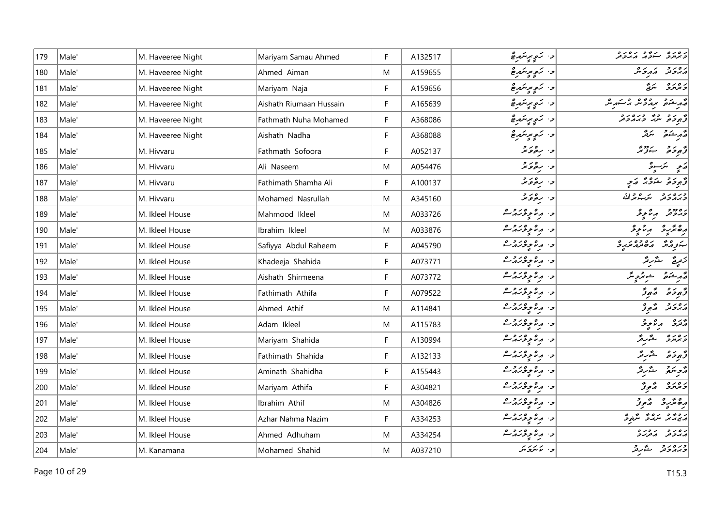| 179 | Male' | M. Haveeree Night | Mariyam Samau Ahmed     | F           | A132517 | و· كومبرسكر قح                                       | נסנס נדי נסנד<br>בינו <i>נ</i> ב – ברג ג'נבנ |
|-----|-------|-------------------|-------------------------|-------------|---------|------------------------------------------------------|----------------------------------------------|
| 180 | Male' | M. Haveeree Night | Ahmed Aiman             | M           | A159655 | و· كوپرېترو <u>غ</u>                                 | أرور ومركبه                                  |
| 181 | Male' | M. Haveeree Night | Mariyam Naja            | F           | A159656 | و· كومبرسكر قح                                       | ر ه ر ه<br><del>ر</del> بربرگ                |
| 182 | Male' | M. Haveeree Night | Aishath Riumaan Hussain | F           | A165639 | و· كوپرېترو <u>غ</u>                                 | ړٌ د شکه د مرمرڅنگ بر سکر بنگ                |
| 183 | Male' | M. Haveeree Night | Fathmath Nuha Mohamed   | F           | A368086 | وسكوپرېترورغ                                         | و و ده در دره در                             |
| 184 | Male' | M. Haveeree Night | Aishath Nadha           | $\mathsf F$ | A368088 | والكوبر يتمدهج                                       | أأمر شكافه المترفكر                          |
| 185 | Male' | M. Hivvaru        | Fathmath Sofoora        | F           | A052137 | $7.8 - 3$                                            | و دور<br>گروخو سورند                         |
| 186 | Male' | M. Hivvaru        | Ali Naseem              | M           | A054476 | د . ره د د                                           | أەيم سىرسوق                                  |
| 187 | Male' | M. Hivvaru        | Fathimath Shamha Ali    | F           | A100137 | و· رەۋىگە                                            | وٌ و د و د و د کام و                         |
| 188 | Male' | M. Hivvaru        | Mohamed Nasrullah       | M           | A345160 | د . ره د د                                           | ورەرو برېږېرالله                             |
| 189 | Male' | M. Ikleel House   | Mahmood Ikleel          | M           | A033726 | د . مراج گردم می<br>م                                | دەددو مەردۇ                                  |
| 190 | Male' | M. Ikleel House   | Ibrahim Ikleel          | M           | A033876 | د مراج دیگر می<br>مسیر                               | הפתוכ היתכל                                  |
| 191 | Male' | M. Ikleel House   | Safiyya Abdul Raheem    | F           | A045790 | د را و وروا                                          | يئوره پژ<br>ره وه د ره                       |
| 192 | Male' | M. Ikleel House   | Khadeeja Shahida        | F           | A073771 | د . مراج د در د ۹                                    | زَمْرِيحٌ حَمَّرِيْرٌ                        |
| 193 | Male' | M. Ikleel House   | Aishath Shirmeena       | F           | A073772 | <sub>د</sub> . <sub>م</sub> را <sub>فج</sub> ورَړُے  | وكرمشكم مستركر ومكر                          |
| 194 | Male' | M. Ikleel House   | Fathimath Athifa        | F           | A079522 | <sub>د</sub> . <sub>م</sub> را <sub>فج</sub> ورَړُے  | توالجو فالمحموق                              |
| 195 | Male' | M. Ikleel House   | Ahmed Athif             | M           | A114841 | <sub>و</sub> . رى <sub>م</sub> وچرىرت                | پروژو<br>رمجي وحمح                           |
| 196 | Male' | M. Ikleel House   | Adam Ikleel             | M           | A115783 | د <sub>م</sub> رام پرورز م                           | پژره<br>د ترو<br>ىر ئەم <sub>جى</sub> ر      |
| 197 | Male' | M. Ikleel House   | Mariyam Shahida         | F           | A130994 | <sub>د</sub> . <sub>م</sub> را <sub>فج</sub> ورَړُے  | ىشەرىتر<br>ر ه ر ه<br><del>ر</del> بربرگ     |
| 198 | Male' | M. Ikleel House   | Fathimath Shahida       | F           | A132133 | <sub>د</sub> . <sub>م</sub> را <sub>فج</sub> ور پر م | ىشتىرىتر<br>وٌمودَمٌ                         |
| 199 | Male' | M. Ikleel House   | Aminath Shahidha        | F           | A155443 | د <sub>ا</sub> ړه <sub>کم</sub> ونه ده.<br>د         | أرمز<br>ستەرىتر                              |
| 200 | Male' | M. Ikleel House   | Mariyam Athifa          | F           | A304821 | <sub>و</sub> . <sub>م</sub> را <sub>فج</sub> ورَړُے  | ر ه ر ه<br>تر بر ر<br>رٌ جو تُرُ             |
| 201 | Male' | M. Ikleel House   | Ibrahim Athif           | M           | A304826 | د <sub>ا</sub> ړن <sub>ځ پو</sub> ر ژه<br>ر          | أرە ئەر ئە ئەر                               |
| 202 | Male' | M. Ikleel House   | Azhar Nahma Nazim       | F           | A334253 | <sub>و</sub> . مەم پەنزىرگە                          | ر د د د د ره د عمده گر                       |
| 203 | Male' | M. Ikleel House   | Ahmed Adhuham           | M           | A334254 | <sub>و</sub> . رٍ، موچر درم گ                        | י 2000 ביבור<br>הייכה הבנייכ                 |
| 204 | Male' | M. Kanamana       | Mohamed Shahid          | M           | A037210 | ە ·   ئەنىز ئىر                                      | ورەر دېمبر د<br><i>وبرە</i> رور شەرىر        |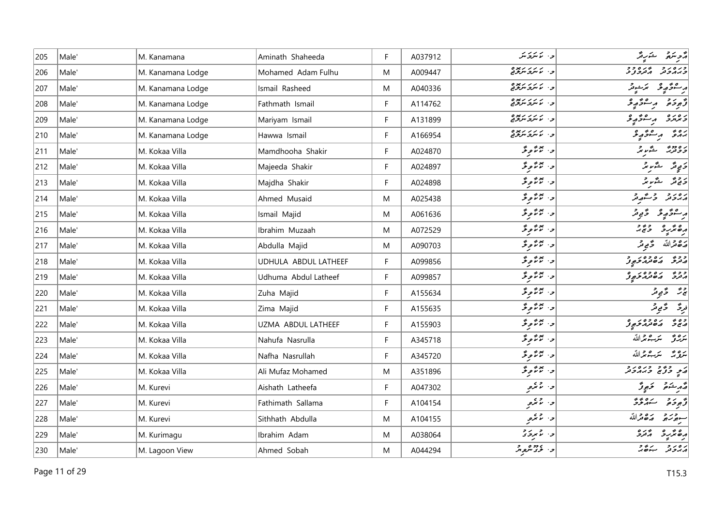| 205 | Male' | M. Kanamana       | Aminath Shaheeda            | F           | A037912 | ە <i>سى</i> كەتىكە                         | أترجع أحكم ومتكر                             |
|-----|-------|-------------------|-----------------------------|-------------|---------|--------------------------------------------|----------------------------------------------|
| 206 | Male' | M. Kanamana Lodge | Mohamed Adam Fulhu          | M           | A009447 | و ·   ئەنىر ئەيرە<br>و ·   ئەنىرى ئىرىجەنى | כנסנכ בנסכב<br><i>כג</i> וכט ו <i>הטכנ</i> ע |
| 207 | Male' | M. Kanamana Lodge | Ismail Rasheed              | M           | A040336 | و٠ تأتير كريوه                             | ىرىشۇرچە ئىشىر                               |
| 208 | Male' | M. Kanamana Lodge | Fathmath Ismail             | F.          | A114762 | و ·   ئەنگەرىمۇقى                          | ەرسەۋەپەي<br>ۇ بور د                         |
| 209 | Male' | M. Kanamana Lodge | Mariyam Ismail              | $\mathsf F$ | A131899 | و ·   ئەنىر ئىرىدە                         | د شوځه و<br>ر ه ر ه<br><del>ر</del> بربر و   |
| 210 | Male' | M. Kanamana Lodge | Hawwa Ismail                | $\mathsf F$ | A166954 | و ·   ئەنىر ئىرىدە                         | وستوفيو<br>برەپچ                             |
| 211 | Male' | M. Kokaa Villa    | Mamdhooha Shakir            | F           | A024870 | ح <sup>.</sup> ئىنگ <sub>ى ق</sub> ۇ       | شەرىر<br>ر ه دد د.<br><del>د</del> و نربر    |
| 212 | Male' | M. Kokaa Villa    | Majeeda Shakir              | F           | A024897 | ى ئىم ئىم ئىگە<br>مەنبە ئىم ئىم            | شەر بەر<br>  تو پوگر                         |
| 213 | Male' | M. Kokaa Villa    | Majdha Shakir               | F           | A024898 | د . ئۇنۇرۇ                                 | ووه شمار                                     |
| 214 | Male' | M. Kokaa Villa    | Ahmed Musaid                | M           | A025438 | -<br> د . مْامْ مُومَّر                    | ره رد د عهد                                  |
| 215 | Male' | M. Kokaa Villa    | Ismail Majid                | M           | A061636 | - مېتموگر<br>د سنورگ                       | ر جۇرپۇ گەير                                 |
| 216 | Male' | M. Kokaa Villa    | Ibrahim Muzaah              | M           | A072529 | د ، ئائىمۇقە                               |                                              |
| 217 | Male' | M. Kokaa Villa    | Abdulla Majid               | M           | A090703 | ى ئەممۇم <b>ۇ</b>                          | يَدْهِ قَرْاللّه _ قَ مِي مَرْ               |
| 218 | Male' | M. Kokaa Villa    | <b>UDHULA ABDUL LATHEEF</b> | F           | A099856 | د به میخورگ                                | ככל גםכסבקיב<br>גיני גםינגיבקיב              |
| 219 | Male' | M. Kokaa Villa    | Udhuma Abdul Latheef        | F           | A099857 | د به مینموی <del>گ</del>                   | ووو دەۋەر دەر                                |
| 220 | Male' | M. Kokaa Villa    | Zuha Majid                  | F           | A155634 | د به تړنمو څه                              | ة محمد محمد<br> -<br> -                      |
| 221 | Male' | M. Kokaa Villa    | Zima Majid                  | F           | A155635 | د به مينم تو څه                            | أفرقت تحجم وتحر                              |
| 222 | Male' | M. Kokaa Villa    | UZMA ABDUL LATHEEF          | F.          | A155903 | -<br> د· مُتَمَّوَدٌّ                      |                                              |
| 223 | Male' | M. Kokaa Villa    | Nahufa Nasrulla             | F           | A345718 | -<br> د· ئىتمۇھەمچە                        | ىئەرمۇ<br>بتربه تحرالله                      |
| 224 | Male' | M. Kokaa Villa    | Nafha Nasrullah             | F           | A345720 | <br> د· ئىتتمومۇ                           | بتربه فرالله<br>سره بر                       |
| 225 | Male' | M. Kokaa Villa    | Ali Mufaz Mohamed           | M           | A351896 | ح <sup>.</sup> ئىنئىمۇ ئىگە                | ر دور دره در در د                            |
| 226 | Male' | M. Kurevi         | Aishath Latheefa            | F           | A047302 | - رحم عرص                                  | أمار مشاه والمحافية                          |
| 227 | Male' | M. Kurevi         | Fathimath Sallama           | F           | A104154 | ح به مذهبه                                 | و ده ده ده                                   |
| 228 | Male' | M. Kurevi         | Sithhath Abdulla            | M           | A104155 | -<br> حس <sup>ر ع</sup> معرم               | وكافرالله<br>سەۋر ۋ                          |
| 229 | Male' | M. Kurimagu       | Ibrahim Adam                | M           | A038064 | وسيمبروي                                   | ەرھ ئ <sup>ۆ</sup> ر ۋ<br>ەرگەر              |
| 230 | Male' | M. Lagoon View    | Ahmed Sobah                 | M           | A044294 | ר מוקס בי<br>כי יכבייקסיק                  | ره رو برود                                   |
|     |       |                   |                             |             |         |                                            |                                              |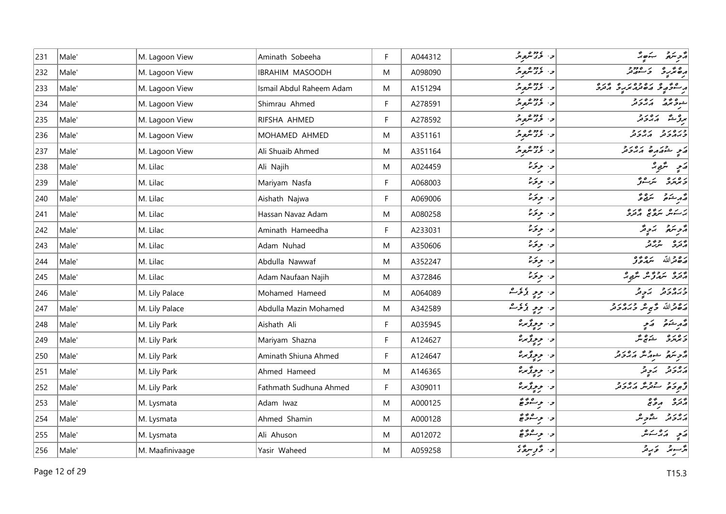| 231 | Male' | M. Lagoon View  | Aminath Sobeeha          | F         | A044312 | در دوه در                                  | أأرد المنفس المجمع المتعارية                  |
|-----|-------|-----------------|--------------------------|-----------|---------|--------------------------------------------|-----------------------------------------------|
| 232 | Male' | M. Lagoon View  | <b>IBRAHIM MASOODH</b>   | M         | A098090 | در دوه در                                  | ת סית כ כ ב ב ב                               |
| 233 | Male' | M. Lagoon View  | Ismail Abdul Raheem Adam | M         | A151294 | و. ودوه و                                  | ر صوره ده ده دره دره دره                      |
| 234 | Male' | M. Lagoon View  | Shimrau Ahmed            | F         | A278591 |                                            | شوونده برورد                                  |
| 235 | Male' | M. Lagoon View  | RIFSHA AHMED             | F         | A278592 | و . ووه ه و پر                             | بروث بره رو                                   |
| 236 | Male' | M. Lagoon View  | MOHAMED AHMED            | M         | A351161 | و . ووه و .<br>و . مور سر <sub>جو</sub> بر | כנסנכ נסנכ<br><i>כג</i> מכנ <sub>ע</sub> מגבע |
| 237 | Male' | M. Lagoon View  | Ali Shuaib Ahmed         | M         | A351164 | و . ووه و و                                | كمو خوكرة كالادد                              |
| 238 | Male' | M. Lilac        | Ali Najih                | M         | A024459 | وسوقرد                                     | ړې ش <sub>م</sub> ور                          |
| 239 | Male' | M. Lilac        | Mariyam Nasfa            | F         | A068003 | وسوقرة                                     | رەرە شرق                                      |
| 240 | Male' | M. Lilac        | Aishath Najwa            | F         | A069006 | والموقرة                                   | و ديگرد ده دره د                              |
| 241 | Male' | M. Lilac        | Hassan Navaz Adam        | M         | A080258 | وسوقرة                                     | بر کره دره وره                                |
| 242 | Male' | M. Lilac        | Aminath Hameedha         | F         | A233031 | وسوقرة                                     | أأوسكو أأتاجي                                 |
| 243 | Male' | M. Lilac        | Adam Nuhad               | ${\sf M}$ | A350606 | وسوقرة                                     | وره ووو<br>د ترد سربرتر                       |
| 244 | Male' | M. Lilac        | Abdulla Nawwaf           | M         | A352247 | وسوقرة                                     | رەقراللە سەم دە                               |
| 245 | Male' | M. Lilac        | Adam Naufaan Najih       | ${\sf M}$ | A372846 | وسوقرد                                     | وره رووه شمړ                                  |
| 246 | Male' | M. Lily Palace  | Mohamed Hameed           | M         | A064089 | ار. وو دکوت                                | ورەرو بەدىر                                   |
| 247 | Male' | M. Lily Palace  | Abdulla Mazin Mohamed    | M         | A342589 | ار. ووٍ دَوَتْ                             | برە داللە گەر مەدەر د                         |
| 248 | Male' | M. Lily Park    | Aishath Ali              | F         | A035945 | د ووژمره                                   | أشر بشكوه أتكمح                               |
| 249 | Male' | M. Lily Park    | Mariyam Shazna           | F         | A124627 | د· وووژ برنا                               | رەرە شەھ ش                                    |
| 250 | Male' | M. Lily Park    | Aminath Shiuna Ahmed     | F         | A124647 | د. د دیگری                                 | הכיתם ביתיה המכת                              |
| 251 | Male' | M. Lily Park    | Ahmed Hameed             | M         | A146365 | د. ووژیره                                  | أرور و بروتر                                  |
| 252 | Male' | M. Lily Park    | Fathmath Sudhuna Ahmed   | F         | A309011 | د· دِدِرْ بررْ                             | و د د دوه ده دو.<br>گهچره سنترس مدونتر        |
| 253 | Male' | M. Lysmata      | Adam Iwaz                | ${\sf M}$ | A000125 | و٠ ورادة ثح                                | أثرو بروح                                     |
| 254 | Male' | M. Lysmata      | Ahmed Shamin             | M         | A000128 | وسور مثرة كا                               | دەرو ھۇمەر                                    |
| 255 | Male' | M. Lysmata      | Ali Ahuson               | M         | A012072 | و. وعدة ق                                  | أوسم وأوسك                                    |
| 256 | Male' | M. Maafinivaage | Yasir Waheed             | M         | A059258 | ە: دۇر سرەتى                               | ە ئەسىرىمە ئەر تەر                            |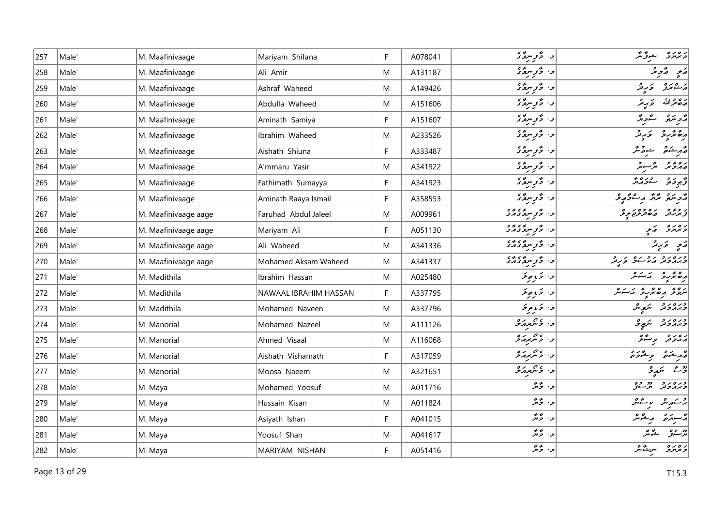| 257 | Male' | M. Maafinivaage      | Mariyam Shifana       | F           | A078041 | <sub>و</sub> . دُّ پرېدوندگا         | ىشىر تۈنىگر<br>  ئەنگەر ئ                      |
|-----|-------|----------------------|-----------------------|-------------|---------|--------------------------------------|------------------------------------------------|
| 258 | Male' | M. Maafinivaage      | Ali Amir              | M           | A131187 | د· د گورسوندگا                       | أميمج المجموعه                                 |
| 259 | Male' | M. Maafinivaage      | Ashraf Waheed         | M           | A149426 | د· د گورسرچ کا                       | أرشونرو أورقر                                  |
| 260 | Male' | M. Maafinivaage      | Abdulla Waheed        | M           | A151606 | و· د گوسرگانگا                       | برە ترالله<br>ءَ ٻريٽر                         |
| 261 | Male' | M. Maafinivaage      | Aminath Samiya        | F           | A151607 | <mark>و. ۇر</mark> ىبرۇ <sup>ي</sup> | سەٌ جە بىرٌ<br>أروبترة                         |
| 262 | Male' | M. Maafinivaage      | Ibrahim Waheed        | M           | A233526 | د گرېږدنکه                           | دەندە<br>ءَ ٻرتر                               |
| 263 | Male' | M. Maafinivaage      | Aishath Shiuna        | $\mathsf F$ | A333487 | د گرمرگر                             | ە ئەرىشكى ئىسمەت ئىش                           |
| 264 | Male' | M. Maafinivaage      | A'mmaru Yasir         | M           | A341922 | د گرېږي.                             | גם זה הצייית                                   |
| 265 | Male' | M. Maafinivaage      | Fathimath Sumayya     | F           | A341923 | و به محمو سرچ ځ                      | و ده دره و                                     |
| 266 | Male' | M. Maafinivaage      | Aminath Raaya Ismail  | F           | A358553 | د گ <sub>و</sub> سروگی               | הכתב תי תפיקי                                  |
| 267 | Male' | M. Maafinivaage aage | Faruhad Abdul Jaleel  | M           | A009961 | د گرېږمونه ده.<br>م                  | ر و دو ده وه د و و<br>تو بررتر د پره ترویخ و و |
| 268 | Male' | M. Maafinivaage aage | Mariyam Ali           | F           | A051130 | د ژوموژه ده                          | د ۱۵ د مړ                                      |
| 269 | Male' | M. Maafinivaage aage | Ali Waheed            | M           | A341336 | و ژومبۇ دە                           | أرشح أترامه                                    |
| 270 | Male' | M. Maafinivaage aage | Mohamed Aksam Waheed  | M           | A341337 | د گرمه ده                            |                                                |
| 271 | Male' | M. Madithila         | Ibrahim Hassan        | M           | A025480 | د· د د و د                           | رەپزىر بىسكى                                   |
| 272 | Male' | M. Madithila         | NAWAAL IBRAHIM HASSAN | $\mathsf F$ | A337795 | ە ئەبۇئە                             |                                                |
| 273 | Male' | M. Madithila         | Mohamed Naveen        | M           | A337796 | <mark>و، ځوم</mark> ونځه             | ورەرو بروتكر                                   |
| 274 | Male' | M. Manorial          | Mohamed Nazeel        | M           | A111126 | اد کی شهر می                         | ورەرو شھرى                                     |
| 275 | Male' | M. Manorial          | Ahmed Visaal          | M           | A116068 | والمحتمية                            | رەرد وڭۇ                                       |
| 276 | Male' | M. Manorial          | Aishath Vishamath     | F           | A317059 | د . د عربر و                         | وكرشكو ويشرده                                  |
| 277 | Male' | M. Manorial          | Moosa Naeem           | M           | A321651 | و كامبر                              | دو شهره<br>در شهره                             |
| 278 | Male' | M. Maya              | Mohamed Yoosuf        | M           | A011716 | و٠ وَگ                               | כנים ניבר כם<br>בגמבת ת—נצ                     |
| 279 | Male' | M. Maya              | Hussain Kisan         | M           | A011824 | و گەگر                               | يزخير بمر بر ستر مر                            |
| 280 | Male' | M. Maya              | Asiyath Ishan         | F           | A041015 | و٠ وَگ                               | أم سورة المستور                                |
| 281 | Male' | M. Maya              | Yoosuf Shan           | M           | A041617 | والمتجم                              | يەمىر<br>دد حره<br>مرسسو                       |
| 282 | Male' | M. Maya              | MARIYAM NISHAN        | $\mathsf F$ | A051416 | و گەگر                               | رەرە سەشەر                                     |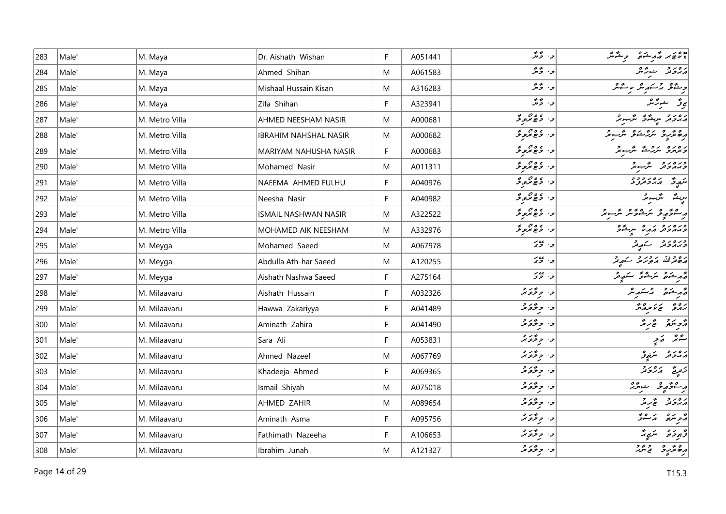| 283 | Male' | M. Maya        | Dr. Aishath Wishan           | F  | A051441 | وا وَگُرُّ                     | لدەن ئەرسۇم بوشى                                                                                                                                          |
|-----|-------|----------------|------------------------------|----|---------|--------------------------------|-----------------------------------------------------------------------------------------------------------------------------------------------------------|
| 284 | Male' | M. Maya        | Ahmed Shihan                 | M  | A061583 | و٠ وَگ                         | رەرەتى جەرگەر<br>دېمۇ ئەسەر سىر سىر سىر<br>ئاسىمى ئىسىر سىر سىر سىر سىر سىر سىر ئىسىر كىلىن كىلىن كىلىن كىلىن كىلىن كىلىن كىلىن كىلىن كىلىن كىلىن كىلىن ك |
| 285 | Male' | M. Maya        | Mishaal Hussain Kisan        | M  | A316283 | و٠ وَگ                         |                                                                                                                                                           |
| 286 | Male' | M. Maya        | Zifa Shihan                  | F  | A323941 | ر ژگر                          |                                                                                                                                                           |
| 287 | Male' | M. Metro Villa | AHMED NEESHAM NASIR          | M  | A000681 | و· وقع تروتر                   | رەر دېرېشى كەيدىر                                                                                                                                         |
| 288 | Male' | M. Metro Villa | <b>IBRAHIM NAHSHAL NASIR</b> | M  | A000682 | د . د ۱۳۵۶ وگړ                 | رەپرى سرگىشكى سىبدىر                                                                                                                                      |
| 289 | Male' | M. Metro Villa | <b>MARIYAM NAHUSHA NASIR</b> | F  | A000683 | و. دَعِمْهِ دُّ                | و ورو الروحة الرسولا                                                                                                                                      |
| 290 | Male' | M. Metro Villa | Mohamed Nasir                | M  | A011311 | د . ژەم بۇ ئۇ                  | ورەرو شەر                                                                                                                                                 |
| 291 | Male' | M. Metro Villa | NAEEMA AHMED FULHU           | F. | A040976 | - مقام محمد محمد محمد محمد الس | بتمدۇ بەردىدى                                                                                                                                             |
| 292 | Male' | M. Metro Villa | Neesha Nasir                 | F  | A040982 | و. دەم ئۇ                      | سرينگ سگرجونگر                                                                                                                                            |
| 293 | Male' | M. Metro Villa | <b>ISMAIL NASHWAN NASIR</b>  | M  | A322522 | د خېڅونونځه                    | رەش <i>ۇر ئۇ</i> سەھ ئىرىشى سىر بىر                                                                                                                       |
| 294 | Male' | M. Metro Villa | MOHAMED AIK NEESHAM          | M  | A332976 | د . د ۱۳۵۶ وگ                  | ورەرو رو سرشگ                                                                                                                                             |
| 295 | Male' | M. Meyga       | Mohamed Saeed                | M  | A067978 | و• می د                        | ورەرو سەر                                                                                                                                                 |
| 296 | Male' | M. Meyga       | Abdulla Ath-har Saeed        | M  | A120255 | و• می ر                        | رە داللە مەدرىر سەمەتر                                                                                                                                    |
| 297 | Male' | M. Meyga       | Aishath Nashwa Saeed         | F  | A275164 | و به میم                       | أوالم مشكرة المستريد والمرادر                                                                                                                             |
| 298 | Male' | M. Milaavaru   | Aishath Hussain              | F  | A032326 | و• وِقَرَة تَرُ                | ۇرمىشقى برگىتىرىش                                                                                                                                         |
| 299 | Male' | M. Milaavaru   | Hawwa Zakariyya              | F  | A041489 | وا وِ وَ وَ دَ                 |                                                                                                                                                           |
| 300 | Male' | M. Milaavaru   | Aminath Zahira               | F. | A041490 | والمرقرة بمر                   | أزويتهم بخربته                                                                                                                                            |
| 301 | Male' | M. Milaavaru   | Sara Ali                     | F. | A053831 |                                | $\begin{bmatrix} 1 & 1 & 1 \\ 1 & 1 & 1 \\ 1 & 1 & 1 \end{bmatrix}$                                                                                       |
| 302 | Male' | M. Milaavaru   | Ahmed Nazeef                 | M  | A067769 | د . دِ دُوَ پُر                | أرورو الكمور                                                                                                                                              |
| 303 | Male' | M. Milaavaru   | Khadeeja Ahmed               | F  | A069365 | و· وِوُّوَمَرُ                 | زىرى مەدور                                                                                                                                                |
| 304 | Male' | M. Milaavaru   | Ismail Shiyah                | M  | A075018 | د· دِ ژُوَنَد                  | أراعتم ومحمورها والمحمد                                                                                                                                   |
| 305 | Male' | M. Milaavaru   | AHMED ZAHIR                  | M  | A089654 | والمرقرة بمر                   | رەرو پەرىر                                                                                                                                                |
| 306 | Male' | M. Milaavaru   | Aminath Asma                 | F  | A095756 | د . دِ دُوَ پُر                | ړې شه ته کم شو                                                                                                                                            |
| 307 | Male' | M. Milaavaru   | Fathimath Nazeeha            | F. | A106653 | و· وِوُوَىد                    | ا تو بر در<br>ا<br>سَيپِ                                                                                                                                  |
| 308 | Male' | M. Milaavaru   | Ibrahim Junah                | M  | A121327 | د· دِ ژُوَنَد                  | دە ئەر ئىس                                                                                                                                                |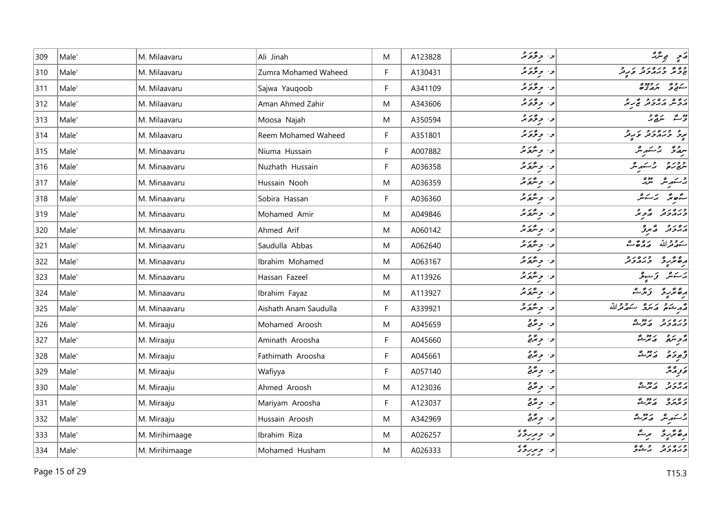| 309 | Male' | M. Milaavaru   | Ali Jinah             | M         | A123828 | <sub>وا</sub> په دېڅونکه      | أتمنح ويثمد                                         |
|-----|-------|----------------|-----------------------|-----------|---------|-------------------------------|-----------------------------------------------------|
| 310 | Male' | M. Milaavaru   | Zumra Mohamed Waheed  | F         | A130431 | وسوقرة تمر                    | 2007 2007 2007 كومبر مر                             |
| 311 | Male' | M. Milaavaru   | Sajwa Yauqoob         | F         | A341109 | <sub>و: ح</sub> ِ قِرْءَ مَرْ | ر و در دوده<br>سونده دروره                          |
| 312 | Male' | M. Milaavaru   | Aman Ahmed Zahir      | M         | A343606 | <mark>ى بەرگەنگە</mark>       | روه ره دو و پرتر                                    |
| 313 | Male' | M. Milaavaru   | Moosa Najah           | M         | A350594 | وسو محوكم                     | ووقت الترقي                                         |
| 314 | Male' | M. Milaavaru   | Reem Mohamed Waheed   | F         | A351801 | اه وژوند                      | ر و وره دو د دو                                     |
| 315 | Male' | M. Minaavaru   | Niuma Hussain         | F         | A007882 | د· دِ مُرْهَ مُرْ             | سرچ چرک مر                                          |
| 316 | Male' | M. Minaavaru   | Nuzhath Hussain       | F         | A036358 | <sub>و: ح</sub> ِ مُرْوَىمُ   | مرج در د حسابه شهر می                               |
| 317 | Male' | M. Minaavaru   | Hussain Nooh          | ${\sf M}$ | A036359 | <sub>ح∙</sub> جِسَّدَة تَمَدُ | ا چر سے مرکز میں میں تھی۔<br>اس کے مرکز میں مس      |
| 318 | Male' | M. Minaavaru   | Sobira Hassan         | F         | A036360 | د· دِ مُرْوَىمْهِ             | بەھ ئەرىكىسى                                        |
| 319 | Male' | M. Minaavaru   | Mohamed Amir          | M         | A049846 | ار. <sub>ح</sub> ېتروند       |                                                     |
| 320 | Male' | M. Minaavaru   | Ahmed Arif            | M         | A060142 | د· دِ مُرْهَ مُرْ             | رەر ئەر                                             |
| 321 | Male' | M. Minaavaru   | Saudulla Abbas        | ${\sf M}$ | A062640 | و· ويتزوجر                    | يَدَ حِمْدِ اللّهُ مَهْ مِرْهُ حَمْ                 |
| 322 | Male' | M. Minaavaru   | Ibrahim Mohamed       | M         | A063167 |                               | תפתוכ בגתכת                                         |
| 323 | Male' | M. Minaavaru   | Hassan Fazeel         | M         | A113926 | د· دِ مُرْوَىمْ               | پرستانش توسیقی                                      |
| 324 | Male' | M. Minaavaru   | Ibrahim Fayaz         | M         | A113927 | وسي مركز و                    | رە ئرىر ئىرگى                                       |
| 325 | Male' | M. Minaavaru   | Aishath Anam Saudulla | F         | A339921 | <sub>و: ح</sub> ِ مُرْوَىمُ   | قديدة وبره سوقرالله                                 |
| 326 | Male' | M. Miraaju     | Mohamed Aroosh        | M         | A045659 | و· وِتَرْمَح                  | وره رو دوده.<br>وبردونر اربوده                      |
| 327 | Male' | M. Miraaju     | Aminath Aroosha       | F         | A045660 | و· وِ مَرْتَج                 | أأزجر سكرة المائر أيتحرج                            |
| 328 | Male' | M. Miraaju     | Fathimath Aroosha     | F         | A045661 | او . ویژیخ<br>——              | پر جو شہر<br>م <i>ر</i> تحریف<br>و مر در<br>ترجو حر |
| 329 | Male' | M. Miraaju     | Wafiyya               | F         | A057140 | و· وِبَرَّةٍ                  | ءَ دِ مگ                                            |
| 330 | Male' | M. Miraaju     | Ahmed Aroosh          | ${\sf M}$ | A123036 | و· وِ پُرُمْ                  | ره ر د در در د<br>م.پروتر م.پرشو                    |
| 331 | Male' | M. Miraaju     | Mariyam Aroosha       | F         | A123037 | و· وِ تَدْيَحْ                | ره ره دره<br>و پر رو پر                             |
| 332 | Male' | M. Miraaju     | Hussain Aroosh        | ${\sf M}$ | A342969 | اوس و پژو                     | برسكرمر المردوع                                     |
| 333 | Male' | M. Mirihimaage | Ibrahim Riza          | M         | A026257 | $rac{c}{c}$                   | ەھترىرى برگ                                         |
| 334 | Male' | M. Mirihimaage | Mohamed Husham        | ${\sf M}$ | A026333 |                               | ورەرو <u>جەم</u> و                                  |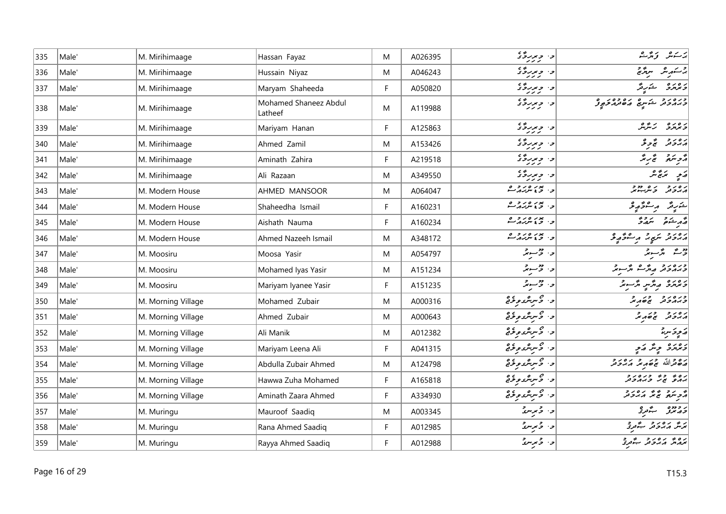| 335 | Male' | M. Mirihimaage     | Hassan Fayaz                     | M  | A026395 | و . و پرېرونو<br>رس                                  | يرسەش تۇپرىشە                                        |
|-----|-------|--------------------|----------------------------------|----|---------|------------------------------------------------------|------------------------------------------------------|
| 336 | Male' | M. Mirihimaage     | Hussain Niyaz                    | M  | A046243 | و ۰ و بورونو <i>۰</i><br>シンシ                         | جرسكور شريدهم                                        |
| 337 | Male' | M. Mirihimaage     | Maryam Shaheeda                  | F  | A050820 | و . و پرېرونو<br>د بر                                | رەرە شەرىگە                                          |
| 338 | Male' | M. Mirihimaage     | Mohamed Shaneez Abdul<br>Latheef | M  | A119988 | و· وبررونی<br>ربر                                    | وره رو شکسره ره وه دره و                             |
| 339 | Male' | M. Mirihimaage     | Mariyam Hanan                    | F  | A125863 | و ، و بربروی<br>د ، د                                | رەرە رىرە                                            |
| 340 | Male' | M. Mirihimaage     | Ahmed Zamil                      | M  | A153426 | و .<br>و . و بوروی<br>シンジ                            | رەر ئەرۋ                                             |
| 341 | Male' | M. Mirihimaage     | Aminath Zahira                   | F. | A219518 | و ۰ و بوروی<br>シンジ                                   | أزويتهم بخربته                                       |
| 342 | Male' | M. Mirihimaage     | Ali Razaan                       | M  | A349550 | او ، و برروی<br>سند : در                             | أەسم ئىتى ش                                          |
| 343 | Male' | M. Modern House    | AHMED MANSOOR                    | M  | A064047 | ى ئىچ ئەرىرى<br>ئ                                    | ג פגב בה בבב<br>הגבע בית הבי                         |
| 344 | Male' | M. Modern House    | Shaheedha Ismail                 | F  | A160231 | ى ئىچ ئەرگەر ق                                       | خىرىتر برسىتى پە                                     |
| 345 | Male' | M. Modern House    | Aishath Nauma                    | F. | A160234 | ى ئىچ ئەرىرى<br>ئ                                    | حرمشكا سمصر                                          |
| 346 | Male' | M. Modern House    | Ahmed Nazeeh Ismail              | M  | A348172 | په سمه ۱۶۷۵ و.<br>په سمه کار ک                       | ג׳גל תו ג' הרייבין ב                                 |
| 347 | Male' | M. Moosiru         | Moosa Yasir                      | M  | A054797 | والمتح سيانجر                                        | 7. پیشه پیش بر می                                    |
| 348 | Male' | M. Moosiru         | Mohamed Iyas Yasir               | M  | A151234 | ە بە تۇسى <i>رىگە</i>                                | כנסנב גילה ואיה                                      |
| 349 | Male' | M. Moosiru         | Mariyam Iyanee Yasir             | F  | A151235 | ى بە تۈسىر<br>مەس                                    | وبروكر ويؤس ترسير                                    |
| 350 | Male' | M. Morning Village | Mohamed Zubair                   | M  | A000316 | د· گرسر مربر و ڈیج                                   | כנסנכ כנג                                            |
| 351 | Male' | M. Morning Village | Ahmed Zubair                     | M  | A000643 | و و کورمر <sub>ی و د</sub> ونج                       | גפנק קבר                                             |
| 352 | Male' | M. Morning Village | Ali Manik                        | M  | A012382 | د· گ <sup>ې</sup> رىش <sub>كى</sub> <sub>ئو</sub> گە | ە بەيە ئەرىتى                                        |
| 353 | Male' | M. Morning Village | Mariyam Leena Ali                | F. | A041315 | د· گ <sup>ې</sup> سرىندىمو ئىقى                      | دەرو بېتر مۇ                                         |
| 354 | Male' | M. Morning Village | Abdulla Zubair Ahmed             | M  | A124798 | و· وكبر شده و دقي                                    | برە داللە تەھەر ئەربەد                               |
| 355 | Male' | M. Morning Village | Hawwa Zuha Mohamed               | F  | A165818 | و· وكبر مرغوغ و دقيقي                                | גם 4 כי כגם גב<br>גרגע – גרגבע                       |
| 356 | Male' | M. Morning Village | Aminath Zaara Ahmed              | F  | A334930 | و· د سرسى و د د کا                                   |                                                      |
| 357 | Male' | M. Muringu         | Mauroof Saadiq                   | M  | A003345 | والمتحموسو                                           | ر و ووه<br><i>و ما برقو</i> به سبک <sup>و</sup> ترنی |
| 358 | Male' | M. Muringu         | Rana Ahmed Saadiq                | F  | A012985 | و . و څرسو                                           | ر پر رور و گرونج بر پر د                             |
| 359 | Male' | M. Muringu         | Rayya Ahmed Saadiq               | F  | A012988 | والمتحموس                                            | رەپ رەرد پەرتى<br>بىرەر مەركىر سەترى                 |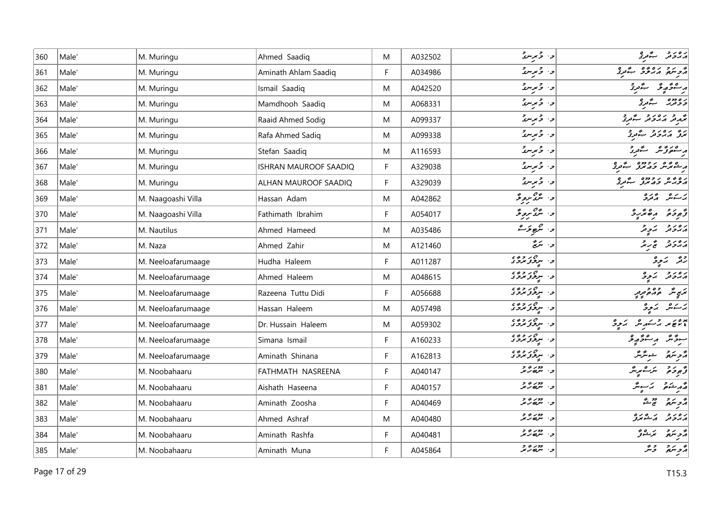| 360 | Male' | M. Muringu         | Ahmed Saadiq                 | M           | A032502 | والمحموس                                        | رەر ئەتەر                                                                           |
|-----|-------|--------------------|------------------------------|-------------|---------|-------------------------------------------------|-------------------------------------------------------------------------------------|
| 361 | Male' | M. Muringu         | Aminath Ahlam Saadiq         | F           | A034986 | والمتحمير سرح                                   | و دو ده وه ځېږ                                                                      |
| 362 | Male' | M. Muringu         | Ismail Saadiq                | M           | A042520 | <sub>وا</sub> وحميد سر                          | رەشۇرچە سۇرچ                                                                        |
| 363 | Male' | M. Muringu         | Mamdhooh Saadiq              | M           | A068331 | د ۰ د توسر                                      | رەپىيە مەرچ<br><i>دونىر</i> سە <i>تى</i> ر                                          |
| 364 | Male' | M. Muringu         | Raaid Ahmed Sodig            | M           | A099337 | ور الحميرسو                                     | مگهر تر مرکز در مرکز به شور تر<br>مگهر تر مرکز تر مرکز ب                            |
| 365 | Male' | M. Muringu         | Rafa Ahmed Sadiq             | M           | A099338 | والمحموس                                        | رە رەرە جەر                                                                         |
| 366 | Male' | M. Muringu         | Stefan Saadiq                | M           | A116593 | والتحميلية                                      | ەر ئەرەپە ھەر ئە                                                                    |
| 367 | Male' | M. Muringu         | <b>ISHRAN MAUROOF SAADIQ</b> | $\mathsf F$ | A329038 | و- وحميد المح                                   | د شوش و دوده و محمده<br>د شوش و د برو                                               |
| 368 | Male' | M. Muringu         | ALHAN MAUROOF SAADIQ         | F           | A329039 | والمتحمير مرحم                                  | ד ס שים בריכים היותרים<br>היכה יותר בריבור היותרים                                  |
| 369 | Male' | M. Naagoashi Villa | Hassan Adam                  | M           | A042862 | و. مَدْعُوهِ قُرُ                               | يُرَسَدَسُ مُرْمَرِدِ                                                               |
| 370 | Male' | M. Naagoashi Villa | Fathimath Ibrahim            | F           | A054017 | و. مدهم مروقر                                   | وتجوحتى مقترح                                                                       |
| 371 | Male' | M. Nautilus        | Ahmed Hameed                 | M           | A035486 | - مگھ بچرے                                      | رەرو روم                                                                            |
| 372 | Male' | M. Naza            | Ahmed Zahir                  | M           | A121460 | و· سَرَبِجَ                                     | رەرد پچ رىر                                                                         |
| 373 | Male' | M. Neeloafarumaage | Hudha Haleem                 | $\mathsf F$ | A011287 | د ۰ سرد و در و د                                | رُمَّر بَرْدٍوْ                                                                     |
| 374 | Male' | M. Neeloafarumaage | Ahmed Haleem                 | M           | A048615 | و٠ سرگور ووه و<br>و٠ سرگور مرگور                | د د د د د د و                                                                       |
| 375 | Male' | M. Neeloafarumaage | Razeena Tuttu Didi           | F           | A056688 | و . سرپوتو بروي<br>و . سرپوتو بروي              | برې شر ده د وربر<br>برې شر مورموبربر                                                |
| 376 | Male' | M. Neeloafarumaage | Hassan Haleem                | M           | A057498 | د . سرد د د د ،<br><mark>د . سرد د برد د</mark> | رُسَمَّرْ الْأَرْجَةِ                                                               |
| 377 | Male' | M. Neeloafarumaage | Dr. Hussain Haleem           | M           | A059302 | <sub>و</sub> . سرد و د و و                      | $\frac{1}{2}$ $\frac{1}{2}$ $\frac{1}{2}$ $\frac{1}{2}$ $\frac{1}{2}$ $\frac{1}{2}$ |
| 378 | Male' | M. Neeloafarumaage | Simana Ismail                | F           | A160233 | د . سرد د د د ،<br> د . سرد د د د د             | سوڤسر وعوُرٍو                                                                       |
| 379 | Male' | M. Neeloafarumaage | Aminath Shinana              | $\mathsf F$ | A162813 | و . سرپوتو بروي<br>و . سرپوتو بروي              | ۇچەسكە ھەستىتر                                                                      |
| 380 | Male' | M. Noobahaaru      | FATHMATH NASREENA            | F           | A040147 | בי יחסילי ב                                     | ۇۋەۋە بىرىشىرىتر                                                                    |
| 381 | Male' | M. Noobahaaru      | Aishath Haseena              | $\mathsf F$ | A040157 | و . بیره در و<br>و . سره رنجر                   | مەم ئىكى ئەسىرىگە                                                                   |
| 382 | Male' | M. Noobahaaru      | Aminath Zoosha               | F           | A040469 | בי יחסילי ב                                     | أثر جريع المحمد المحمد                                                              |
| 383 | Male' | M. Noobahaaru      | Ahmed Ashraf                 | M           | A040480 | و<br>و . سره ر بر                               | رەرد كەشىر                                                                          |
| 384 | Male' | M. Noobahaaru      | Aminath Rashfa               | F           | A040481 | و<br>و . سره ر بر                               | أرمز<br>ىرشىۋ                                                                       |
| 385 | Male' | M. Noobahaaru      | Aminath Muna                 | F           | A045864 | בי ייקו <i>ם ג'יק</i>                           | ړٌ پر په د کر                                                                       |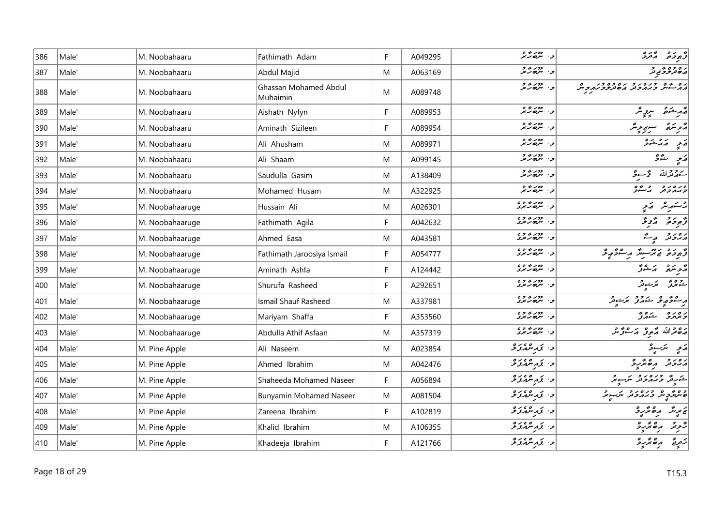| 386 | Male' | M. Noobahaaru   | Fathimath Adam                    | F  | A049295 | בי ממשיב<br>בי ייקו <i>ם ג'</i> יק    | و د دره                                                     |
|-----|-------|-----------------|-----------------------------------|----|---------|---------------------------------------|-------------------------------------------------------------|
| 387 | Male' | M. Noobahaaru   | Abdul Majid                       | M  | A063169 | בי ממשיב<br>בי ייקו <i>ם ג'</i> יק    | ر ۵ ۶ وه ۶ و تر<br>در کانگرنگرنگ فر                         |
| 388 | Male' | M. Noobahaaru   | Ghassan Mohamed Abdul<br>Muhaimin | M  | A089748 | בי ידע מידי<br>בי ייקו <i>ם ג'</i> יק | גם גם כגםגב גם כם כגב.<br>ג'ור אייני בגורכת ג'וסת כבילוקביל |
| 389 | Male' | M. Noobahaaru   | Aishath Nyfyn                     | F  | A089953 | و . دور و د<br>و . سره رنجر           | أقهر يشكون المستوينكر                                       |
| 390 | Male' | M. Noobahaaru   | Aminath Sizileen                  | F  | A089954 | בי ייקו <i>ם ל</i> יב                 | أۇجەنئى سىبېرىش                                             |
| 391 | Male' | M. Noobahaaru   | Ali Ahusham                       | M  | A089971 | و . بیره در و<br>و . سره رنجر         | $rac{2}{3}$                                                 |
| 392 | Male' | M. Noobahaaru   | Ali Shaam                         | M  | A099145 | و . بیره در و<br>و . سره رنجر         | أركمتني المشركر                                             |
| 393 | Male' | M. Noobahaaru   | Saudulla Gasim                    | M  | A138409 | בי ייקו <i>ם ל</i> יב                 | كركر قرالله تؤسو                                            |
| 394 | Male' | M. Noobahaaru   | Mohamed Husam                     | M  | A322925 | בי ייקו <i>ם ל</i> יב                 | ورەر د د مەد                                                |
| 395 | Male' | M. Noobahaaruge | Hussain Ali                       | M  | A026301 | د در د د د<br>د . سره ر برد           | جرستهریش اورامی                                             |
| 396 | Male' | M. Noobahaaruge | Fathimath Agila                   | F  | A042632 | د در د د د<br>د ۱۰ سره ر برد          | قُهِ وَءُ صَّوَمَّ                                          |
| 397 | Male' | M. Noobahaaruge | Ahmed Easa                        | M  | A043581 | و . هور پو و ،<br>و . سرچه رسمری      | رەرد پە                                                     |
| 398 | Male' | M. Noobahaaruge | Fathimath Jaroosiya Ismail        | F. | A054777 |                                       | توجود ويردو بالمستر بالمستورية                              |
| 399 | Male' | M. Noobahaaruge | Aminath Ashfa                     | F  | A124442 | د در د د د<br>د ۱۰ سره ر برد          | أأزجر ستعرج أركاشوش                                         |
| 400 | Male' | M. Noobahaaruge | Shurufa Rasheed                   | F  | A292651 | د در د د د<br>د ۱۰ سره ر برد          | لشمرة ترجيته                                                |
| 401 | Male' | M. Noobahaaruge | Ismail Shauf Rasheed              | M  | A337981 |                                       | ر قاھ ھار دور ہے۔<br>اس سوگار کا عام کی اس کا اس            |
| 402 | Male' | M. Noobahaaruge | Mariyam Shaffa                    | F  | A353560 | و . مردم و ،<br>و . مرده رحمه د       | أوبوره المشورة                                              |
| 403 | Male' | M. Noobahaaruge | Abdulla Athif Asfaan              | M  | A357319 | و . دور و و .<br>و . سره ر سر و       | رە داللە مەرد مەر دىن                                       |
| 404 | Male' | M. Pine Apple   | Ali Naseem                        | M  | A023854 | و· بوَم شمرور و                       | أركمني الكرسوق                                              |
| 405 | Male' | M. Pine Apple   | Ahmed Ibrahim                     | M  | A042476 | و· بَرَم شَمَّرْتَرْ حَر              | أرور وه محمدة                                               |
| 406 | Male' | M. Pine Apple   | Shaheeda Mohamed Naseer           | F  | A056894 |                                       | كالمناديم ورودو الرسولمر                                    |
| 407 | Male' | M. Pine Apple   | Bunyamin Mohamed Naseer           | M  | A081504 | و . وَمِه سَمْ وَمُوَ ثَرَ            | כפת כי כי הכי היית                                          |
| 408 | Male' | M. Pine Apple   | Zareena Ibrahim                   | F  | A102819 | و . وَمِه سَمْ وَمُوَ ثَرَ            | غېږېتىن مەھترىپە                                            |
| 409 | Male' | M. Pine Apple   | Khalid Ibrahim                    | M  | A106355 |                                       | تزوقر المقتربة                                              |
| 410 | Male' | M. Pine Apple   | Khadeeja Ibrahim                  | F  | A121766 |                                       | زَمِرِيَّ رِهِ مَرْرِدْ                                     |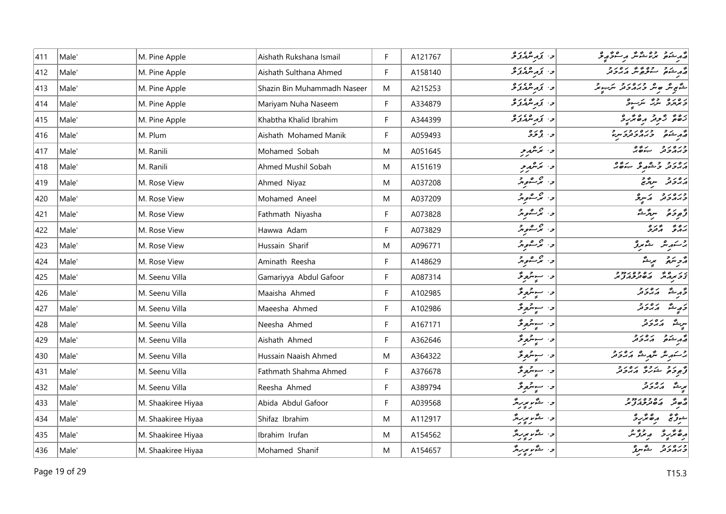| 411 | Male' | M. Pine Apple      | Aishath Rukshana Ismail     | F. | A121767 | د· برَم عند رَمْح                | ۇرىئو دە ئەش رىشى ھ                                     |
|-----|-------|--------------------|-----------------------------|----|---------|----------------------------------|---------------------------------------------------------|
| 412 | Male' | M. Pine Apple      | Aishath Sulthana Ahmed      | F  | A158140 | د· ډَم شمه زَ د                  | و دشته ده ده ده در د                                    |
| 413 | Male' | M. Pine Apple      | Shazin Bin Muhammadh Naseer | M  | A215253 | د· برَم ِسْمَدْ زَكْرُ           | أن والمعالج المسترد المستورج المراجع المستورج المسترجع  |
| 414 | Male' | M. Pine Apple      | Mariyam Nuha Naseem         | F  | A334879 | د· ډَمرسمه ِرَ د                 | ر ه ره دو تر تر دو                                      |
| 415 | Male' | M. Pine Apple      | Khabtha Khalid Ibrahim      | F. | A344399 | د· ډَمر شمه زَ دْ                | زەۋ ئوبر رەپرى                                          |
| 416 | Male' | M. Plum            | Aishath Mohamed Manik       | F  | A059493 | و . ووو                          | התשים כמתכתכתים                                         |
| 417 | Male' | M. Ranili          | Mohamed Sobah               | M  | A051645 | - ئىشدىر                         | وره دو ده و                                             |
| 418 | Male' | M. Ranili          | Ahmed Mushil Sobah          | M  | A151619 | و· برگرمرمر<br> و· برگرمرمرم     | رەرد دەھ بەھ                                            |
| 419 | Male' | M. Rose View       | Ahmed Niyaz                 | M  | A037208 | - برعور                          | גפנק יידע                                               |
| 420 | Male' | M. Rose View       | Mohamed Aneel               | M  | A037209 | اح مي شوه د                      | ورەرو كەبدى                                             |
| 421 | Male' | M. Rose View       | Fathmath Niyasha            | F. | A073828 | اح مي ه هو مر                    | قرموخرة مسرقته                                          |
| 422 | Male' | M. Rose View       | Hawwa Adam                  | F  | A073829 |                                  | ره و دره                                                |
| 423 | Male' | M. Rose View       | Hussain Sharif              | M  | A096771 | ح به مرکب محر مر                 | رحم شهر میگیرد میشود.<br>مستقب <sup>ر</sup>             |
| 424 | Male' | M. Rose View       | Aminath Reesha              | F  | A148629 | د . ئۇس <sup>ق</sup> رە <i>ۋ</i> | أأدوسكم المحميطة                                        |
| 425 | Male' | M. Seenu Villa     | Gamariyya Abdul Gafoor      | F  | A087314 | ى سوپى <i>گو</i> مۇ              | גג כב גם בכתבת.<br>צבינגיל גם בבתיבת בינ                |
| 426 | Male' | M. Seenu Villa     | Maaisha Ahmed               | F  | A102985 | ى سوپى <i>گو</i> مۇ              | أقرمر مقالح ورود                                        |
| 427 | Male' | M. Seenu Villa     | Maeesha Ahmed               | F  | A102986 | ى سوپى <i>گو</i> مۇ              | بر 2 ر ح<br>م <i>ر</i> بر <del>د</del> تر<br>  تەرەپىتە |
| 428 | Male' | M. Seenu Villa     | Neesha Ahmed                | F  | A167171 | ى سوس <sub>ى</sub> مۇرىگە        | أسريتش كدر و د                                          |
| 429 | Male' | M. Seenu Villa     | Aishath Ahmed               | F. | A362646 | ى سېش <sub>ھو</sub> گە           | أحدث شده بدره                                           |
| 430 | Male' | M. Seenu Villa     | Hussain Naaish Ahmed        | M  | A364322 | ى سوپى <i>گو</i> مۇ              | ج سەر شەھر شەھر مەردىر                                  |
| 431 | Male' | M. Seenu Villa     | Fathmath Shahma Ahmed       | F  | A376678 | ى سوپى <i>گو</i> مۇ              | قروح شروه ره رو                                         |
| 432 | Male' | M. Seenu Villa     | Reesha Ahmed                | F  | A389794 | د. سوسره وگ                      | پرینڈ   پر پر ور                                        |
| 433 | Male' | M. Shaakiree Hiyaa | Abida Abdul Gafoor          | F  | A039568 | و · ستگار موردگر<br>گروپر        | و معرض مده ده درد د<br>مصرف مصر در در                   |
| 434 | Male' | M. Shaakiree Hiyaa | Shifaz Ibrahim              | M  | A112917 | و- ڪويوبردگر<br>سنڌيوبر          | شوژی مره تر د<br>مسروی م                                |
| 435 | Male' | M. Shaakiree Hiyaa | Ibrahim Irufan              | M  | A154562 | و- ڪُما بوريز<br>د               | ە ھەترىر 2<br>س<br>ەپە ئەرمىتر                          |
| 436 | Male' | M. Shaakiree Hiyaa | Mohamed Shanif              | M  | A154657 | و، ڪُن پررگ                      | ورەرو ئەس                                               |
|     |       |                    |                             |    |         |                                  |                                                         |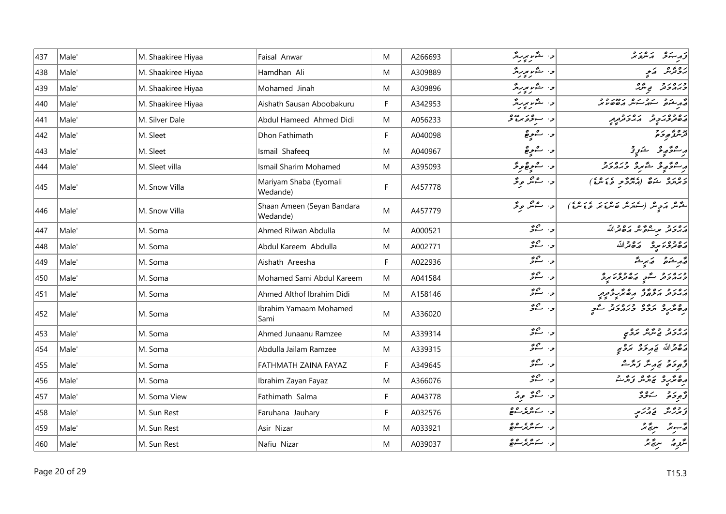| 437 | Male' | M. Shaakiree Hiyaa | Faisal Anwar                           | M         | A266693 | و ، ڪُن پوريڙ<br>مشتر ۽ ر   | تەرىبىق ئەسھەت                                               |
|-----|-------|--------------------|----------------------------------------|-----------|---------|-----------------------------|--------------------------------------------------------------|
| 438 | Male' | M. Shaakiree Hiyaa | Hamdhan Ali                            | ${\sf M}$ | A309889 | و- ڪُما پررگ                | پروتر شر کامی                                                |
| 439 | Male' | M. Shaakiree Hiyaa | Mohamed Jinah                          | ${\sf M}$ | A309896 | و- ڪُما بور پڙ<br>د         | ورەرو يې شە                                                  |
| 440 | Male' | M. Shaakiree Hiyaa | Aishath Sausan Aboobakuru              | F         | A342953 | ە سىم ئەرىرىدى.<br>مەمۇرىيە |                                                              |
| 441 | Male' | M. Silver Dale     | Abdul Hameed Ahmed Didi                | M         | A056233 | ار. سوۋىر، دەر              | קס כסק כל הקבציקות<br>הסתיכה כל ההכנקות                      |
| 442 | Male' | M. Sleet           | Dhon Fathimath                         | F         | A040098 | د. سگوهی                    | بره و پر د<br>ترسرگ <sub>ی</sub> ر کرد                       |
| 443 | Male' | M. Sleet           | Ismail Shafeeq                         | M         | A040967 | لى سىمب <i>و</i> غ          | بر شۇن ئى ئىستىر ئىچ                                         |
| 444 | Male' | M. Sleet villa     | Ismail Sharim Mohamed                  | M         | A395093 | وسن هو پيءِ و گِر           |                                                              |
| 445 | Male' | M. Snow Villa      | Mariyam Shaba (Eyomali<br>Wedande)     | F         | A457778 | د. سەنگە دۇ                 | ر ٥ ر ٥ ر ٢ ر ٢ ٢ ٢ ٥ ر ٥ ٢٥<br>5 برمرد شده (ممروح و ٢ سنة ) |
| 446 | Male' | M. Snow Villa      | Shaan Ameen (Seyan Bandara<br>Wedande) | ${\sf M}$ | A457779 | د. سه پمگر و قمر            | شه می که د هر استر می مورد است و د مره می است )              |
| 447 | Male' | M. Soma            | Ahmed Rilwan Abdulla                   | M         | A000521 | د. مشتر                     | أبره برو موسوع مروح الله                                     |
| 448 | Male' | M. Soma            | Abdul Kareem Abdulla                   | M         | A002771 | د. مشۇ                      | رەدەر رە ئەھەراللە                                           |
| 449 | Male' | M. Soma            | Aishath Areesha                        | F         | A022936 | د . شۇ                      | م المستوفر الم المريضة                                       |
| 450 | Male' | M. Soma            | Mohamed Sami Abdul Kareem              | M         | A041584 | د . شۇ                      | ورەر دېمبر دەدەر دە                                          |
| 451 | Male' | M. Soma            | Ahmed Althof Ibrahim Didi              | ${\sf M}$ | A158146 | د. مشرمحه                   | رەرد رەپە مەھەر دوبر                                         |
| 452 | Male' | M. Soma            | Ibrahim Yamaam Mohamed<br>Sami         | M         | A336020 | د. مشتر                     | وه و د ده ورور د عر                                          |
| 453 | Male' | M. Soma            | Ahmed Junaanu Ramzee                   | M         | A339314 | و. مشۇ                      | ر و د و و په د و د و پ <sub>و</sub>                          |
| 454 | Male' | M. Soma            | Abdulla Jailam Ramzee                  | M         | A339315 | ە بەشق                      | رەۋراللە قەرىخى ئىردىپ                                       |
| 455 | Male' | M. Soma            | FATHMATH ZAINA FAYAZ                   | F         | A349645 | د. مشرمح                    | ۋە دە يېرىت زىژىن                                            |
| 456 | Male' | M. Soma            | Ibrahim Zayan Fayaz                    | M         | A366076 | و. مشتر                     |                                                              |
| 457 | Male' | M. Soma View       | Fathimath Salma                        | F         | A043778 | ا د. سکو وړ                 | وَجِيحَةَ سَعْرَةً                                           |
| 458 | Male' | M. Sun Rest        | Faruhana Jauhary                       | F         | A032576 | ى سەھەپرىشق                 | كروور رورير                                                  |
| 459 | Male' | M. Sun Rest        | Asir Nizar                             | M         | A033921 | ى سەھەپرىشق                 | ۇسىر ئىس ئىر                                                 |
| 460 | Male' | M. Sun Rest        | Nafiu Nizar                            | M         | A039037 | ى سەئىر بىر يىل ھ           | لترور سريح تر                                                |
|     |       |                    |                                        |           |         |                             |                                                              |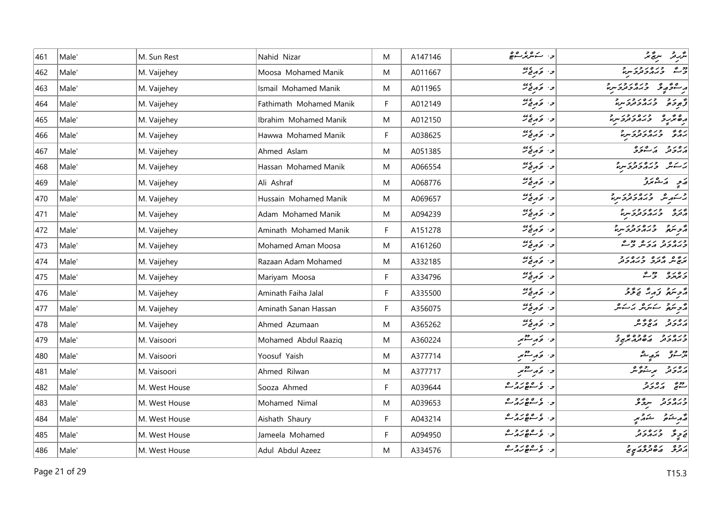| 461 | Male' | M. Sun Rest   | Nahid Nizar             | M         | A147146 | ى سەھەر شۇھ                                     | م <i>تزب</i> ر ترجيح مر                                        |
|-----|-------|---------------|-------------------------|-----------|---------|-------------------------------------------------|----------------------------------------------------------------|
| 462 | Male' | M. Vaijehey   | Moosa Mohamed Manik     | M         | A011667 | و· قەدەتر                                       | ה מוסנכנגל                                                     |
| 463 | Male' | M. Vaijehey   | Ismail Mohamed Manik    | M         | A011965 | و· <sub>ح</sub> ً مرب <i>ع</i> گ                | ת ביציק במתכנציתי                                              |
| 464 | Male' | M. Vaijehey   | Fathimath Mohamed Manik | F         | A012149 | و· قەدىمى<br>م                                  | 2 <i>ב ג</i> ם ג 2 גע<br>2 <i>ג</i> וג 2 تور سور<br>وٌ جو تر و |
| 465 | Male' | M. Vaijehey   | Ibrahim Mohamed Manik   | M         | A012150 | و· قەم قى <sup>مى</sup>                         | ەر ھەتئەر 2<br>س<br>2 ג 2 ג 2 ג 2<br>פ ג ח ב تو 3 س            |
| 466 | Male' | M. Vaijehey   | Hawwa Mohamed Manik     | F         | A038625 | و· <sub>ح</sub> <sub>مرقع</sub> ر               | נים כנסנכנית                                                   |
| 467 | Male' | M. Vaijehey   | Ahmed Aslam             | M         | A051385 | و· <sub>ح</sub> مربع ده<br>و· ح مربع ر          | ړه رو پر ۱۵۷۵                                                  |
| 468 | Male' | M. Vaijehey   | Hassan Mohamed Manik    | M         | A066554 | و· <sub>ح</sub> کرم <sup>ی می</sup>             | يُرَسَرَسُ وَيَرْدُونُونَ سِرِدٍ                               |
| 469 | Male' | M. Vaijehey   | Ali Ashraf              | M         | A068776 | و· قەم قى <sup>رى</sup>                         | أقذمت المرشومزقر                                               |
| 470 | Male' | M. Vaijehey   | Hussain Mohamed Manik   | M         | A069657 | وستحمر فيميح                                    | ג אילי בממכנקל מי                                              |
| 471 | Male' | M. Vaijehey   | Adam Mohamed Manik      | M         | A094239 | و· قەدىمى<br>م                                  | שנים כנסנכנית.<br>הבקר כההכבקביתיו                             |
| 472 | Male' | M. Vaijehey   | Aminath Mohamed Manik   | F         | A151278 | و· قەدىمى<br>م                                  | י גר כגם בגישת.<br>גריתים בגבריתים                             |
| 473 | Male' | M. Vaijehey   | Mohamed Aman Moosa      | M         | A161260 | و· قەدەتر                                       | כנסגב גגם בכל.<br>בגהכת הכית כל                                |
| 474 | Male' | M. Vaijehey   | Razaan Adam Mohamed     | M         | A332185 | و· <sub>ح</sub> مربع ده<br>و· ح مربع ر          | קנים ניקם בקסקב<br>זקאית הנקב בההכנק                           |
| 475 | Male' | M. Vaijehey   | Mariyam Moosa           | F         | A334796 | و· <sub>ح</sub> مرة ع                           | د ه ده در م                                                    |
| 476 | Male' | M. Vaijehey   | Aminath Faiha Jalal     | F         | A335500 | و· عَهرٍ في                                     | أأدبتكم وكراثا وتحر                                            |
| 477 | Male' | M. Vaijehey   | Aminath Sanan Hassan    | F         | A356075 | و· عَهرِ في                                     | ۇ دىرە كەنگەر كەككەر                                           |
| 478 | Male' | M. Vaijehey   | Ahmed Azumaan           | ${\sf M}$ | A365262 | و· <sub>ح</sub> ً مرب <i>ع</i> گ                | גפני גפיים                                                     |
| 479 | Male' | M. Vaisoori   | Mohamed Abdul Raaziq    | ${\sf M}$ | A360224 | د <sub>ا</sub> <sub>ک</sub> رم <sup>22</sup> مر | כנסנכ נסכס מ"כ<br>הממכת מסתמיתים ב                             |
| 480 | Male' | M. Vaisoori   | Yoosuf Yaish            | M         | A377714 |                                                 | ود وه پر په شو                                                 |
| 481 | Male' | M. Vaisoori   | Ahmed Rilwan            | M         | A377717 |                                                 | رەرد برردەر<br>مەردىر برىنىۋىر                                 |
| 482 | Male' | M. West House | Sooza Ahmed             | F         | A039644 | <sub>ى</sub> ، مى مەھ ئەرمىي                    | رددی پرور د                                                    |
| 483 | Male' | M. West House | Mohamed Nimal           | M         | A039653 | ى ئەھەردە                                       | و ر ه ر د<br>تر پر ژ تر<br>سردگو                               |
| 484 | Male' | M. West House | Aishath Shaury          | F         | A043214 | ى ئەھەردە                                       | وكرمشكم الشكرمي                                                |
| 485 | Male' | M. West House | Jameela Mohamed         | F         | A094950 | و. ۇسقۇرۇرمى                                    | پر بخر<br>  پر بخر<br>و ره ر و<br><i>د ب</i> رگرفر             |
| 486 | Male' | M. West House | Adul Abdul Azeez        | ${\sf M}$ | A334576 | - ، مۇسمۇرىيە<br>مەركەبەر                       | ر وه ده ده وه در د<br>مردر در محمد دم د                        |
|     |       |               |                         |           |         |                                                 |                                                                |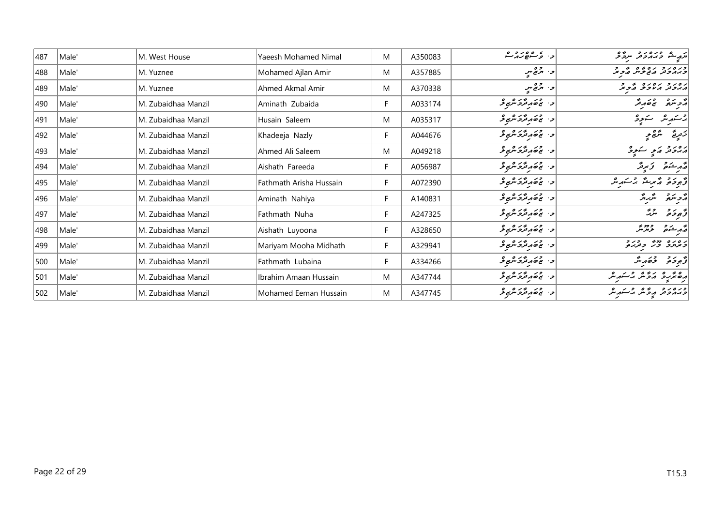| 487           | Male' | M. West House       | Yaeesh Mohamed Nimal    | M  | A350083 | ى ئەمەم <i>دە</i> ر                 | أتركه عشر وبروتر الروحي                                                                             |
|---------------|-------|---------------------|-------------------------|----|---------|-------------------------------------|-----------------------------------------------------------------------------------------------------|
| 488           | Male' | M. Yuznee           | Mohamed Ajlan Amir      | M  | A357885 | اح- افریقی میں<br>ا                 | כנסגב גם גם ב"ב.<br>בגתכת הבלת הכת                                                                  |
| 489           | Male' | M. Yuznee           | Ahmed Akmal Amir        | M  | A370338 | و گرمج س                            | ג סגב גם גם ביי ב<br>הגבע, העביב, הביב                                                              |
| 490           | Male' | M. Zubaidhaa Manzil | Aminath Zubaida         | F. | A033174 | د به ه د وروسره و                   | ا پژ <sub>خر میکو</sub> ر<br>ے حہ مرمگر                                                             |
| 491           | Male' | M. Zubaidhaa Manzil | Husain Saleem           | M  | A035317 | و به هم د کرد شرح تو                | پر سە <b>ر</b> بىر<br>ستهور                                                                         |
| 492           | Male' | M. Zubaidhaa Manzil | Khadeeja Nazly          | F  | A044676 | د به ه د ترد شرح نو                 | زَمِرِيحَ سَرَجْ مِهِ                                                                               |
| $ 493\rangle$ | Male' | M. Zubaidhaa Manzil | Ahmed Ali Saleem        | M  | A049218 | د به ه د وروسره و                   | رود د چې سکوچ                                                                                       |
| 494           | Male' | M. Zubaidhaa Manzil | Aishath Fareeda         | F  | A056987 | و .   ج <i>څه د ترڅ</i> شريع څر     | ە مەشقى ئى ئېرىتر                                                                                   |
| 495           | Male' | M. Zubaidhaa Manzil | Fathmath Arisha Hussain | F  | A072390 | د ، مخ <i>کار فرد ش</i> هر و        | تح ودو المراسق برسكها مر                                                                            |
| 496           | Male' | M. Zubaidhaa Manzil | Aminath Nahiya          | F. | A140831 | ى سىھەد ترىر شىرى<br>س              | اړم سره<br>سوبربو                                                                                   |
| 497           | Male' | M. Zubaidhaa Manzil | Fathmath Nuha           | F  | A247325 | و به هم د کرد شرح تو                | و مر د<br>گ<br>سرمجه                                                                                |
| 498           | Male' | M. Zubaidhaa Manzil | Aishath Luyoona         | F  | A328650 | د به محدود تره شرح ش                | د مهر شو د<br>در مشو د<br>حەد بىر                                                                   |
| 499           | Male' | M. Zubaidhaa Manzil | Mariyam Mooha Midhath   | F. | A329941 | د به ه د وروسره و                   | $\rightarrow$ $\rightarrow$ $\rightarrow$ $\rightarrow$ $\rightarrow$<br>, , ,<br>ومرازح وتر وتربره |
| 500           | Male' | M. Zubaidhaa Manzil | Fathmath Lubaina        | F. | A334266 | ى سىھەر تەركىرى<br>سىمە ئەركىرى ئىس | ا توج څخه د<br>مرضم متر                                                                             |
| 501           | Male' | M. Zubaidhaa Manzil | Ibrahim Amaan Hussain   | M  | A347744 | و به هم د کرد شرح گر                | מסיקנק מכית משימית                                                                                  |
| 502           | Male' | M. Zubaidhaa Manzil | Mohamed Eeman Hussain   | M  | A347745 | و به هم د کرد شرح گر                | وبرازونز اروش برستارش                                                                               |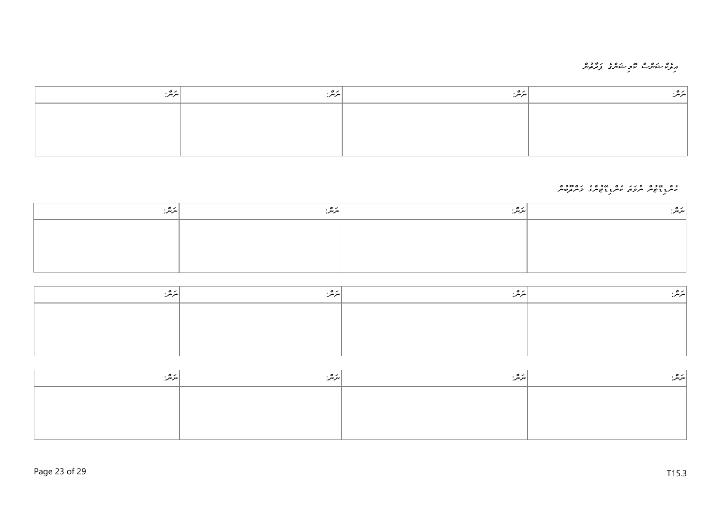## *w7qAn8m? sCw7mRo>u; wEw7mRw;sBo<*

| ' مرمر | 'يئرىثر: |
|--------|----------|
|        |          |
|        |          |
|        |          |

## *w7q9r@w7m> sCw7qHtFoFw7s; mAm=q7 w7qHtFoFw7s;*

| ىر تە | $\mathcal{O} \times$<br>$\sim$ | $\sim$<br>. . | لترنثر |
|-------|--------------------------------|---------------|--------|
|       |                                |               |        |
|       |                                |               |        |
|       |                                |               |        |

| انترنثر: | $^{\circ}$ | يبرهر | $^{\circ}$<br>سرسر |
|----------|------------|-------|--------------------|
|          |            |       |                    |
|          |            |       |                    |
|          |            |       |                    |

| ' ئىرتىر: | سر سر |  |
|-----------|-------|--|
|           |       |  |
|           |       |  |
|           |       |  |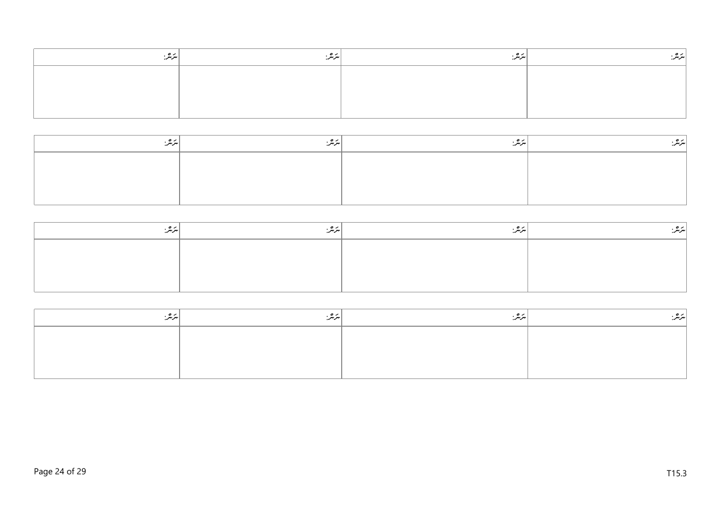| يزهر | $^{\circ}$ | ىئرىتر: |  |
|------|------------|---------|--|
|      |            |         |  |
|      |            |         |  |
|      |            |         |  |

| <sup>.</sup> سرسر. |  |
|--------------------|--|
|                    |  |
|                    |  |
|                    |  |

| ىئرىتر. | $\sim$ | ا بر هه. | لىرىش |
|---------|--------|----------|-------|
|         |        |          |       |
|         |        |          |       |
|         |        |          |       |

| 。<br>مرس. | $\overline{\phantom{a}}$<br>مر مىر | يتريثر |
|-----------|------------------------------------|--------|
|           |                                    |        |
|           |                                    |        |
|           |                                    |        |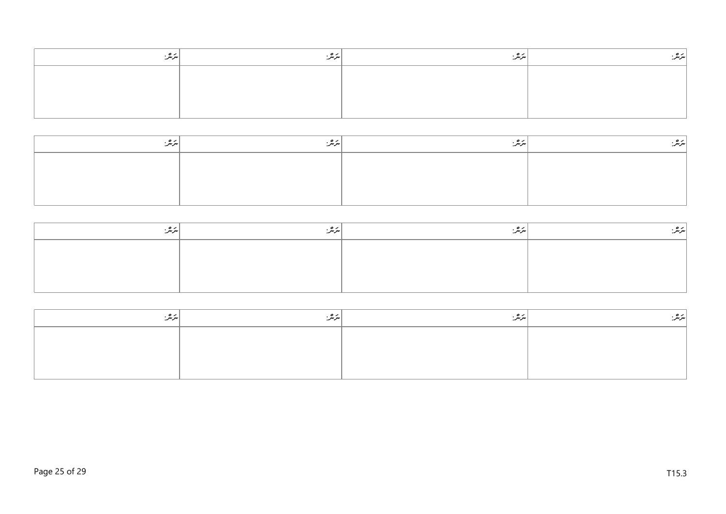| ير هو . | $\overline{\phantom{a}}$ | يرمر | اير هنه. |
|---------|--------------------------|------|----------|
|         |                          |      |          |
|         |                          |      |          |
|         |                          |      |          |

| ئىرتىر: | $\sim$<br>ا سرسر . | يئرمثر | o . |
|---------|--------------------|--------|-----|
|         |                    |        |     |
|         |                    |        |     |
|         |                    |        |     |

| انترنثر: | ر ه |  |
|----------|-----|--|
|          |     |  |
|          |     |  |
|          |     |  |

|  | . ه |
|--|-----|
|  |     |
|  |     |
|  |     |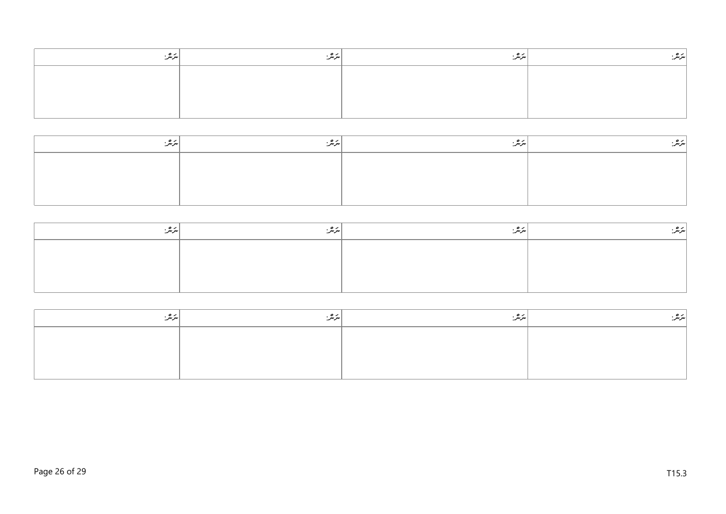| ير هو . | $\overline{\phantom{a}}$ | يرمر | اير هنه. |
|---------|--------------------------|------|----------|
|         |                          |      |          |
|         |                          |      |          |
|         |                          |      |          |

| ىر تىر: | $\circ$ $\sim$<br>" سرسر . | يبرحه | o . |
|---------|----------------------------|-------|-----|
|         |                            |       |     |
|         |                            |       |     |
|         |                            |       |     |

| 'تترنثر: | . .<br>يسمونس. |  |
|----------|----------------|--|
|          |                |  |
|          |                |  |
|          |                |  |

|  | . ه |
|--|-----|
|  |     |
|  |     |
|  |     |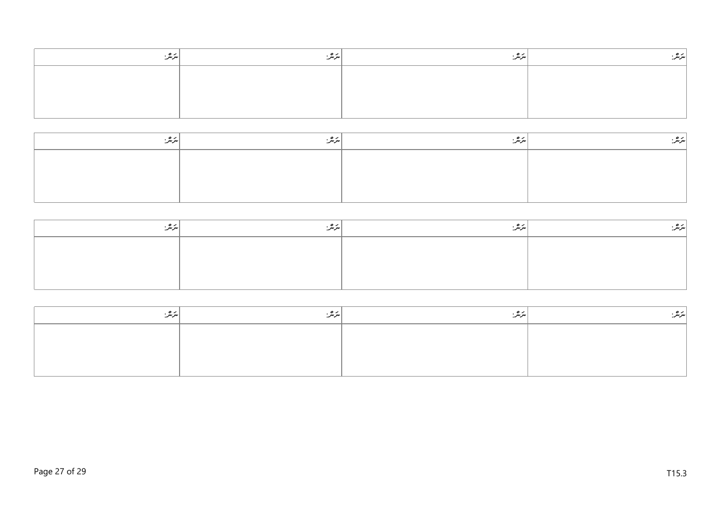| $\cdot$ | ο. | $\frac{\circ}{\cdot}$ | $\sim$<br>سرسر |
|---------|----|-----------------------|----------------|
|         |    |                       |                |
|         |    |                       |                |
|         |    |                       |                |

| يريثن | ' سرسر . |  |
|-------|----------|--|
|       |          |  |
|       |          |  |
|       |          |  |

| بر ه | 。 | $\overline{\phantom{0}}$<br>َ سومس |  |
|------|---|------------------------------------|--|
|      |   |                                    |  |
|      |   |                                    |  |
|      |   |                                    |  |

| 。<br>. س | ىرىىر |  |
|----------|-------|--|
|          |       |  |
|          |       |  |
|          |       |  |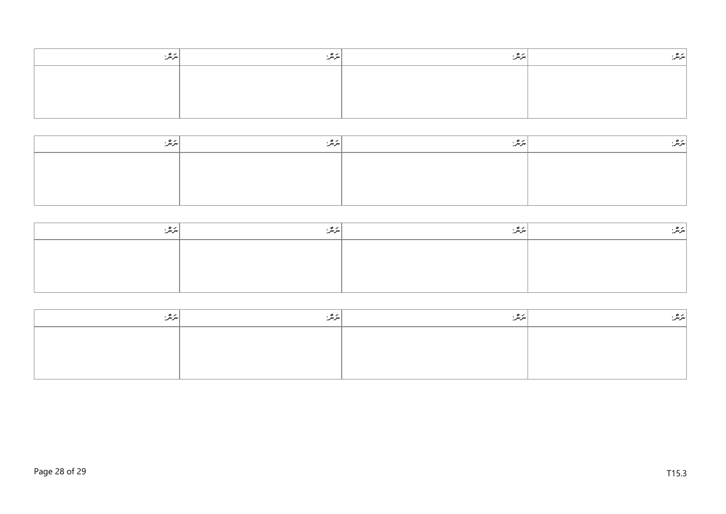| ير هو . | $\overline{\phantom{a}}$ | يرمر | لتزمثن |
|---------|--------------------------|------|--------|
|         |                          |      |        |
|         |                          |      |        |
|         |                          |      |        |

| ىر تىر: | $\circ$ $\sim$<br>" سرسر . | يبرحه | o . |
|---------|----------------------------|-------|-----|
|         |                            |       |     |
|         |                            |       |     |
|         |                            |       |     |

| 'تترنثر: | 。<br>,,,, |  |
|----------|-----------|--|
|          |           |  |
|          |           |  |
|          |           |  |

| 。 |  |  |
|---|--|--|
|   |  |  |
|   |  |  |
|   |  |  |